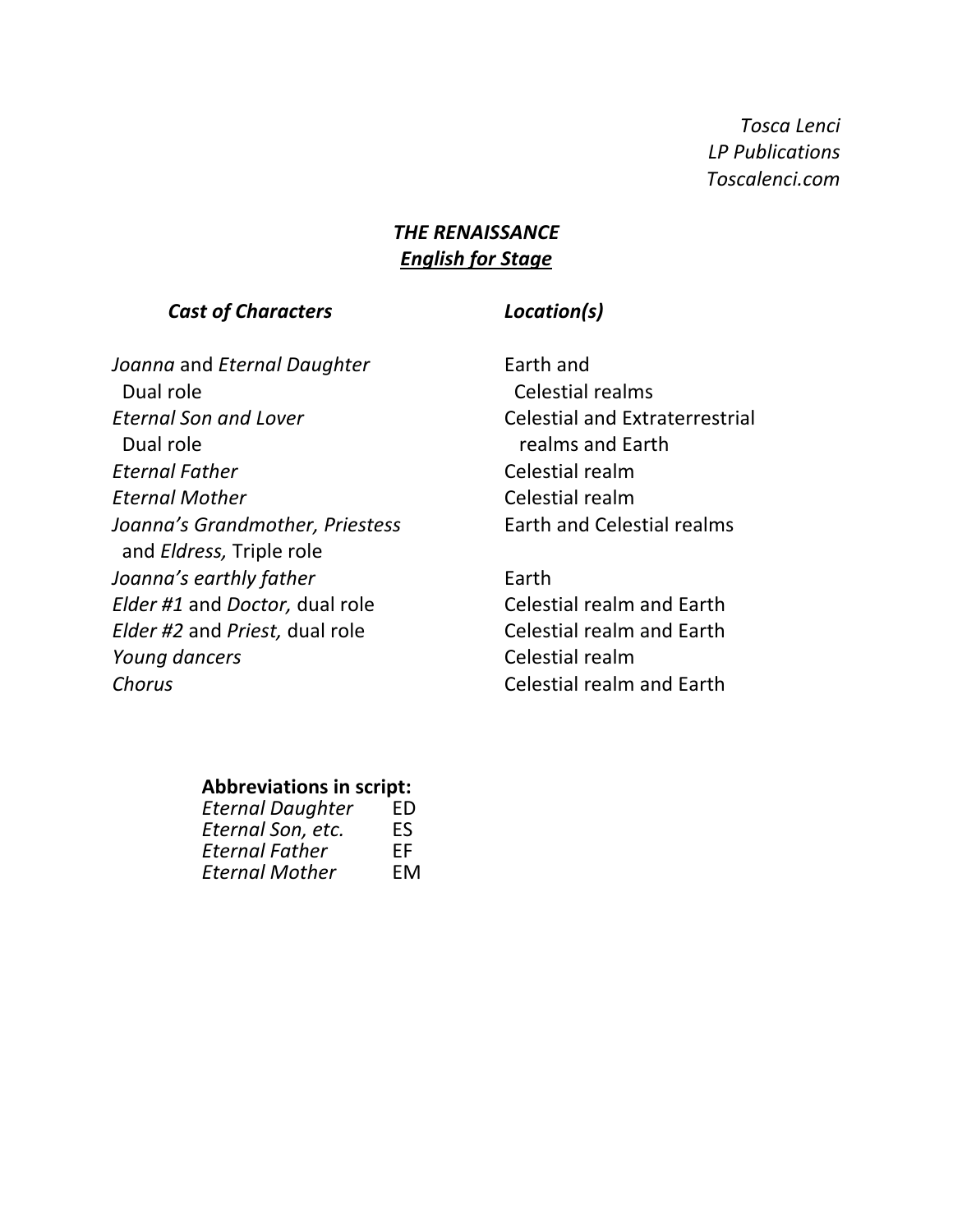*Tosca Lenci LP Publications Toscalenci.com*

## **THE RENAISSANCE English for Stage**

#### *Cast of Characters Location(s)*

*Joanna* and *Eternal Daughter* Earth and Dual role **Celestial** realms *Eternal Son and Lover* Celestial and Extraterrestrial Dual role **Dual role** *Dual* realms and Earth **Eternal Father** Celestial realm **Eternal Mother** Celestial realm *Joanna's Grandmother, Priestess* Earth and Celestial realms and *Eldress*, Triple role *Joanna's earthly father* Earth *Elder #1* and *Doctor*, dual role Celestial realm and Earth *Elder #2* and *Priest*, dual role Celestial realm and Earth *Young dancers* Celestial realm **Chorus** Chorus Celestial realm and Earth

#### **Abbreviations in script:**

| <b>Eternal Daughter</b> | ED |
|-------------------------|----|
| Eternal Son, etc.       | ES |
| <b>Eternal Father</b>   | FF |
| <b>Eternal Mother</b>   | EM |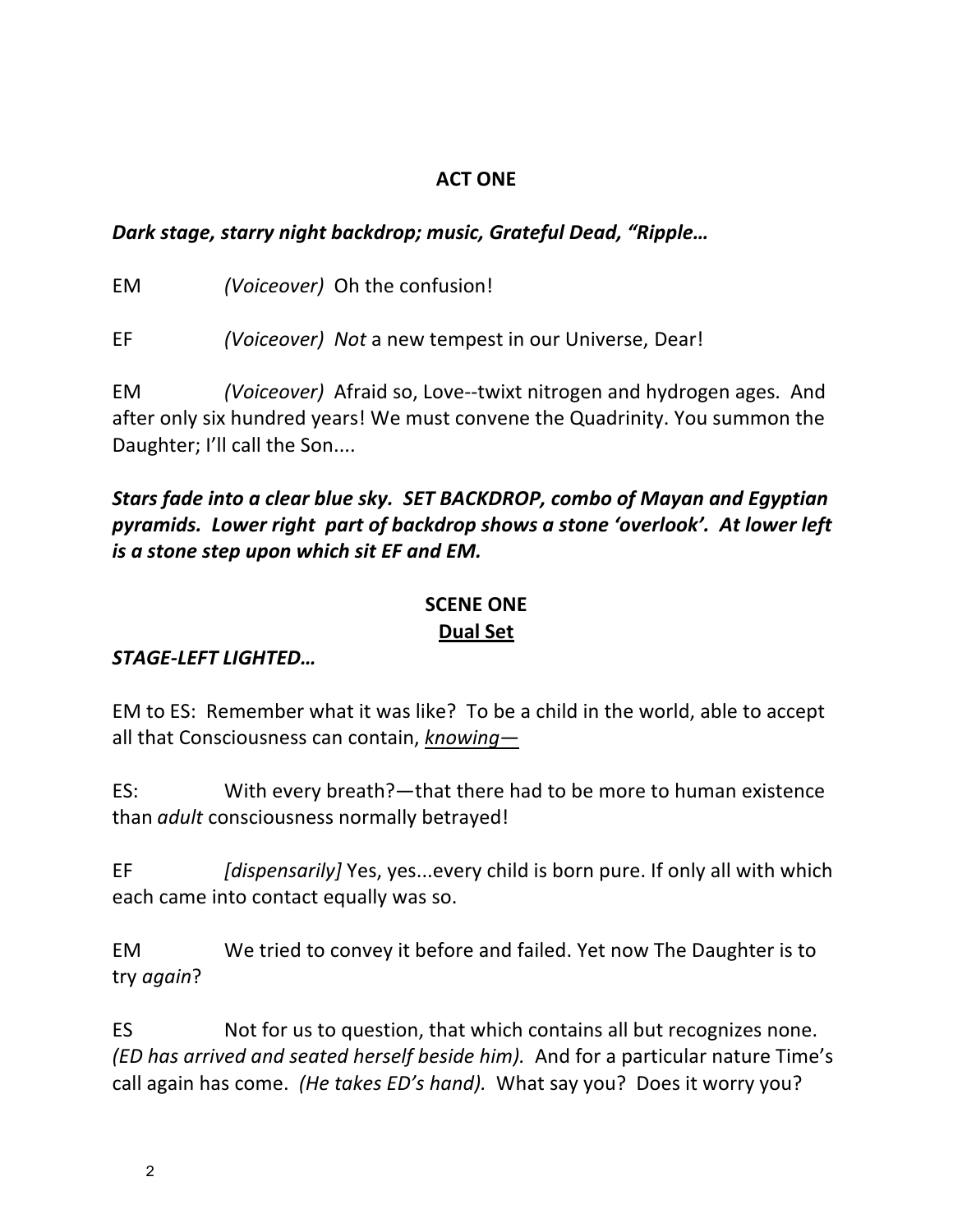## **ACT ONE**

# *Dark stage, starry night backdrop; music, Grateful Dead, "Ripple...*

EM *(Voiceover)* Oh the confusion!

EF *(Voiceover)* Not a new tempest in our Universe, Dear!

EM *(Voiceover)* Afraid so, Love--twixt nitrogen and hydrogen ages. And after only six hundred years! We must convene the Quadrinity. You summon the Daughter; I'll call the Son....

# *Stars fade into a clear blue sky. SET BACKDROP, combo of Mayan and Egyptian* pyramids. Lower right part of backdrop shows a stone 'overlook'. At lower left *is* a stone step upon which sit EF and EM.

# **SCENE ONE Dual Set**

# *STAGE-LEFT LIGHTED…*

EM to ES: Remember what it was like? To be a child in the world, able to accept all that Consciousness can contain, *knowing*—

ES: With every breath?—that there had to be more to human existence than *adult* consciousness normally betrayed!

EF *[dispensarily]* Yes, yes...every child is born pure. If only all with which each came into contact equally was so.

EM We tried to convey it before and failed. Yet now The Daughter is to try *again*?

ES Not for us to question, that which contains all but recognizes none. *(ED* has arrived and seated herself beside him). And for a particular nature Time's call again has come. *(He takes ED's hand)*. What say you? Does it worry you?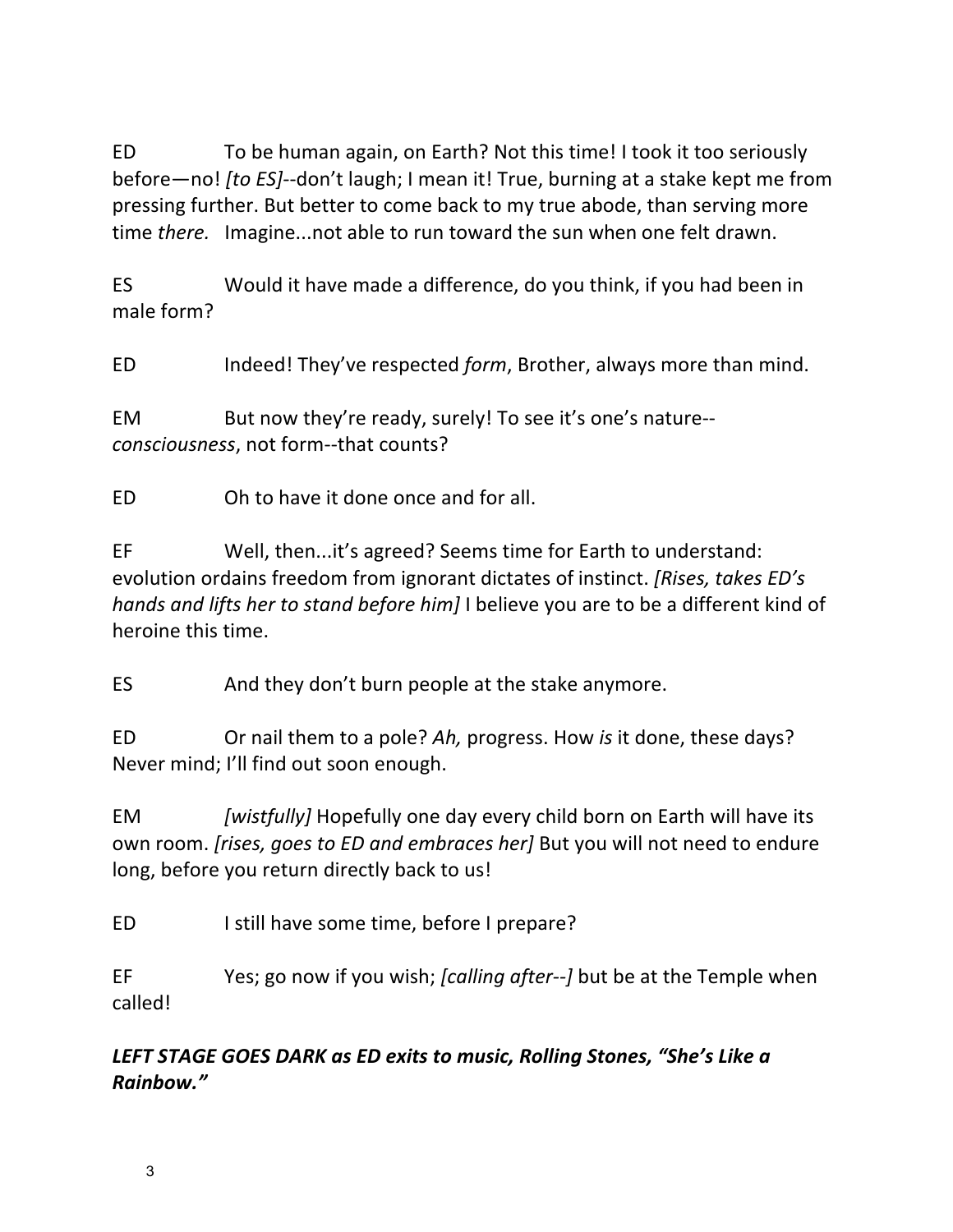ED To be human again, on Earth? Not this time! I took it too seriously before—no! *[to ES]*--don't laugh; I mean it! True, burning at a stake kept me from pressing further. But better to come back to my true abode, than serving more time *there.* Imagine...not able to run toward the sun when one felt drawn.

ES Would it have made a difference, do you think, if you had been in male form?

ED Indeed! They've respected *form*, Brother, always more than mind.

EM But now they're ready, surely! To see it's one's nature-*consciousness*, not form--that counts?

ED Ch to have it done once and for all.

EF Well, then...it's agreed? Seems time for Earth to understand: evolution ordains freedom from ignorant dictates of instinct. *[Rises, takes ED's hands and lifts her to stand before him]* I believe you are to be a different kind of heroine this time.

ES And they don't burn people at the stake anymore.

ED Or nail them to a pole? Ah, progress. How *is* it done, these days? Never mind; I'll find out soon enough.

EM *[wistfully]* Hopefully one day every child born on Earth will have its own room. *[rises, goes to ED and embraces her]* But you will not need to endure long, before you return directly back to us!

ED Istill have some time, before I prepare?

EF Yes; go now if you wish; *[calling after--]* but be at the Temple when called!

# LEFT STAGE GOES DARK as ED exits to music, Rolling Stones, "She's Like a *Rainbow."*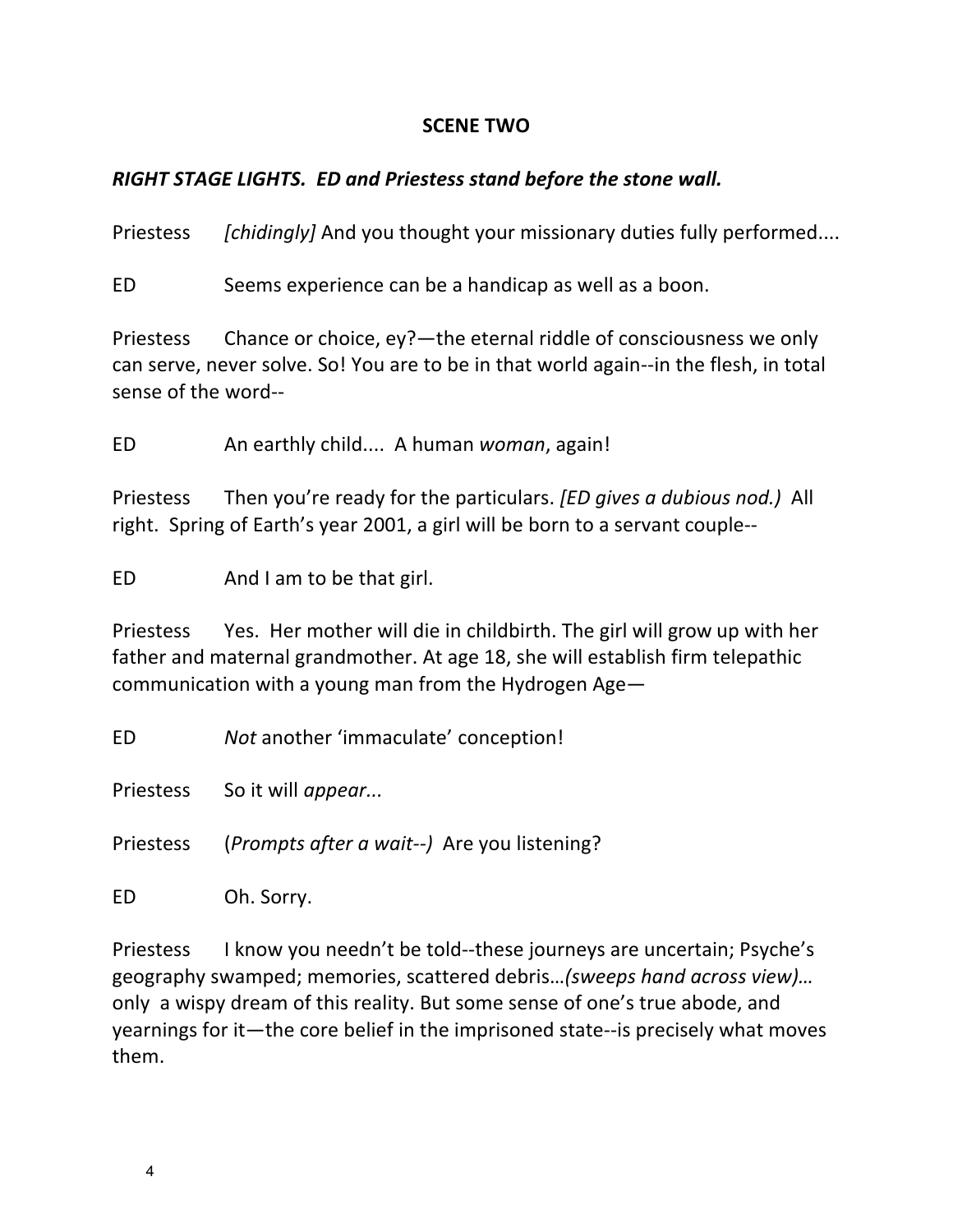### **SCENE TWO**

### *RIGHT STAGE LIGHTS. ED and Priestess stand before the stone wall.*

Priestess *[chidingly]* And you thought your missionary duties fully performed....

ED Seems experience can be a handicap as well as a boon.

Priestess Chance or choice,  $ey?$  the eternal riddle of consciousness we only can serve, never solve. So! You are to be in that world again--in the flesh, in total sense of the word--

ED An earthly child.... A human *woman*, again!

Priestess Then you're ready for the particulars. *[ED gives a dubious nod.*) All right. Spring of Earth's year 2001, a girl will be born to a servant couple--

ED And I am to be that girl.

Priestess Yes. Her mother will die in childbirth. The girl will grow up with her father and maternal grandmother. At age 18, she will establish firm telepathic communication with a young man from the Hydrogen Age-

ED **Not** another 'immaculate' conception!

Priestess So it will *appear...* 

Priestess (*Prompts after a wait--*) Are you listening?

ED Oh. Sorry.

Priestess I know you needn't be told--these journeys are uncertain; Psyche's geography swamped; memories, scattered debris...(sweeps hand across view)... only a wispy dream of this reality. But some sense of one's true abode, and yearnings for it—the core belief in the imprisoned state--is precisely what moves them.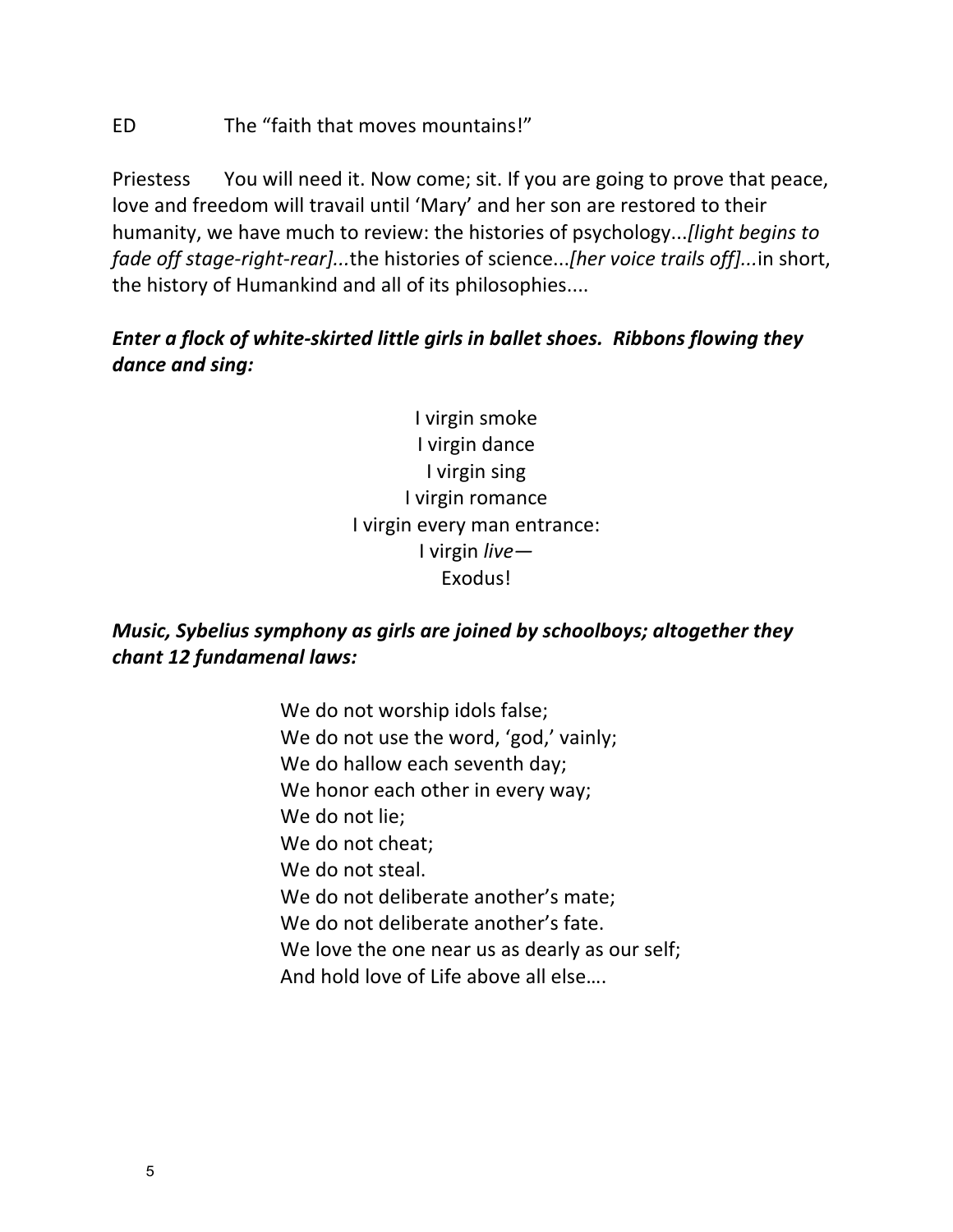### ED The "faith that moves mountains!"

Priestess You will need it. Now come; sit. If you are going to prove that peace, love and freedom will travail until 'Mary' and her son are restored to their humanity, we have much to review: the histories of psychology...*[light begins to fade off stage-right-rear]...the histories of science...[her voice trails off]...in short,* the history of Humankind and all of its philosophies....

# *Enter a flock of white-skirted little girls in ballet shoes. Ribbons flowing they dance and sing:*

I virgin smoke I virgin dance I virgin sing I virgin romance I virgin every man entrance: I virgin *live—* Exodus!

# *Music, Sybelius symphony as girls are joined by schoolboys; altogether they chant 12 fundamenal laws:*

We do not worship idols false; We do not use the word, 'god,' vainly; We do hallow each seventh day; We honor each other in every way; We do not lie; We do not cheat: We do not steal. We do not deliberate another's mate; We do not deliberate another's fate. We love the one near us as dearly as our self; And hold love of Life above all else....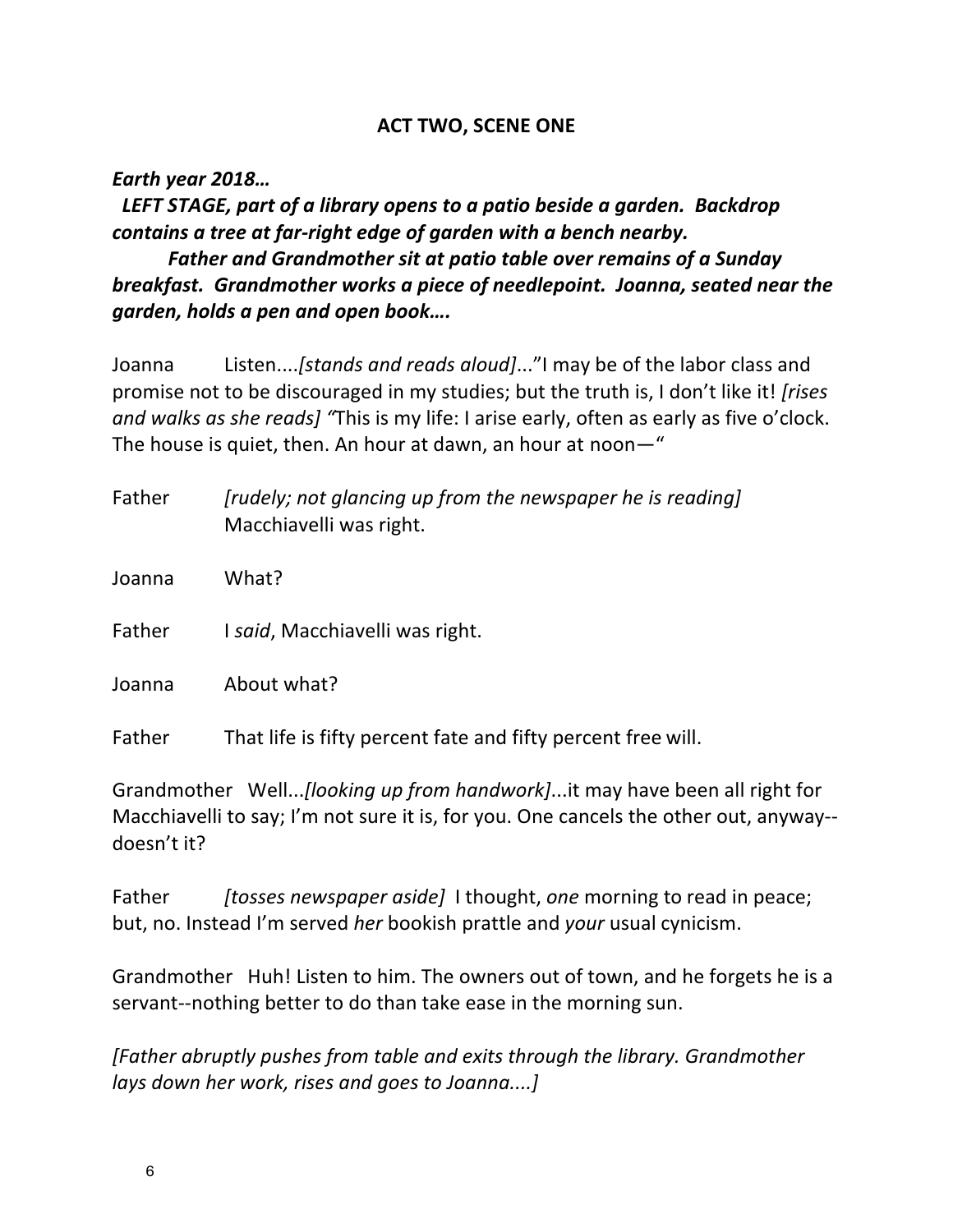#### **ACT TWO, SCENE ONE**

*Earth year 2018…*

LEFT STAGE, part of a library opens to a patio beside a garden. Backdrop *contains a tree at far-right edge of garden with a bench nearby.* 

**Father and Grandmother sit at patio table over remains of a Sunday** *breakfast.* Grandmother works a piece of needlepoint. Joanna, seated near the *garden, holds a pen and open book….*

Joanna Listen....*[stands and reads aloud]...*"I may be of the labor class and promise not to be discouraged in my studies; but the truth is, I don't like it! *[rises and* walks as she reads] "This is my life: I arise early, often as early as five o'clock. The house is quiet, then. An hour at dawn, an hour at noon—"

| Father | [rudely; not glancing up from the newspaper he is reading]<br>Macchiavelli was right. |
|--------|---------------------------------------------------------------------------------------|
| Joanna | What?                                                                                 |
| Father | I said, Macchiavelli was right.                                                       |
| Joanna | About what?                                                                           |
| Father | That life is fifty percent fate and fifty percent free will.                          |

Grandmother Well...*[looking up from handwork]*...it may have been all right for Macchiavelli to say; I'm not sure it is, for you. One cancels the other out, anyway-doesn't it?

Father *[tosses newspaper aside]* I thought, *one* morning to read in peace; but, no. Instead I'm served *her* bookish prattle and *your* usual cynicism.

Grandmother Huh! Listen to him. The owners out of town, and he forgets he is a servant--nothing better to do than take ease in the morning sun.

*[Father abruptly pushes from table and exits through the library. Grandmother lays down her work, rises and goes to Joanna....]*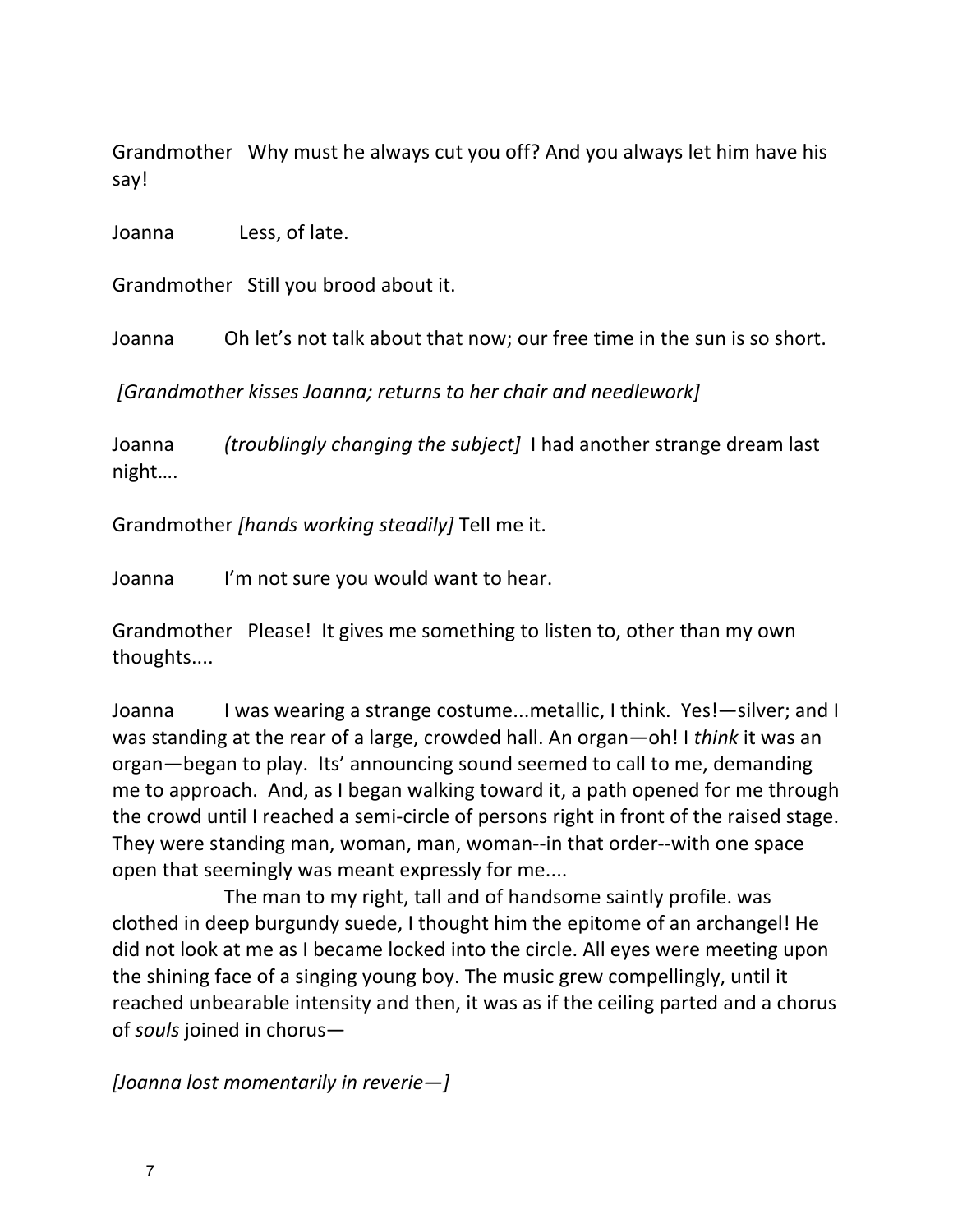Grandmother Why must he always cut you off? And you always let him have his say!

Joanna Less, of late.

Grandmother Still you brood about it.

Joanna Oh let's not talk about that now; our free time in the sun is so short.

[Grandmother kisses Joanna; returns to her chair and needlework]

Joanna *(troublingly changing the subject]* I had another strange dream last night….

Grandmother *[hands working steadily]* Tell me it.

Joanna I'm not sure you would want to hear.

Grandmother Please! It gives me something to listen to, other than my own thoughts....

Joanna I was wearing a strange costume...metallic, I think. Yes!—silver; and I was standing at the rear of a large, crowded hall. An organ—oh! I *think* it was an organ—began to play. Its' announcing sound seemed to call to me, demanding me to approach. And, as I began walking toward it, a path opened for me through the crowd until I reached a semi-circle of persons right in front of the raised stage. They were standing man, woman, man, woman--in that order--with one space open that seemingly was meant expressly for me....

The man to my right, tall and of handsome saintly profile. was clothed in deep burgundy suede, I thought him the epitome of an archangel! He did not look at me as I became locked into the circle. All eyes were meeting upon the shining face of a singing young boy. The music grew compellingly, until it reached unbearable intensity and then, it was as if the ceiling parted and a chorus of *souls* joined in chorus-

*[Joanna lost momentarily in reverie—]*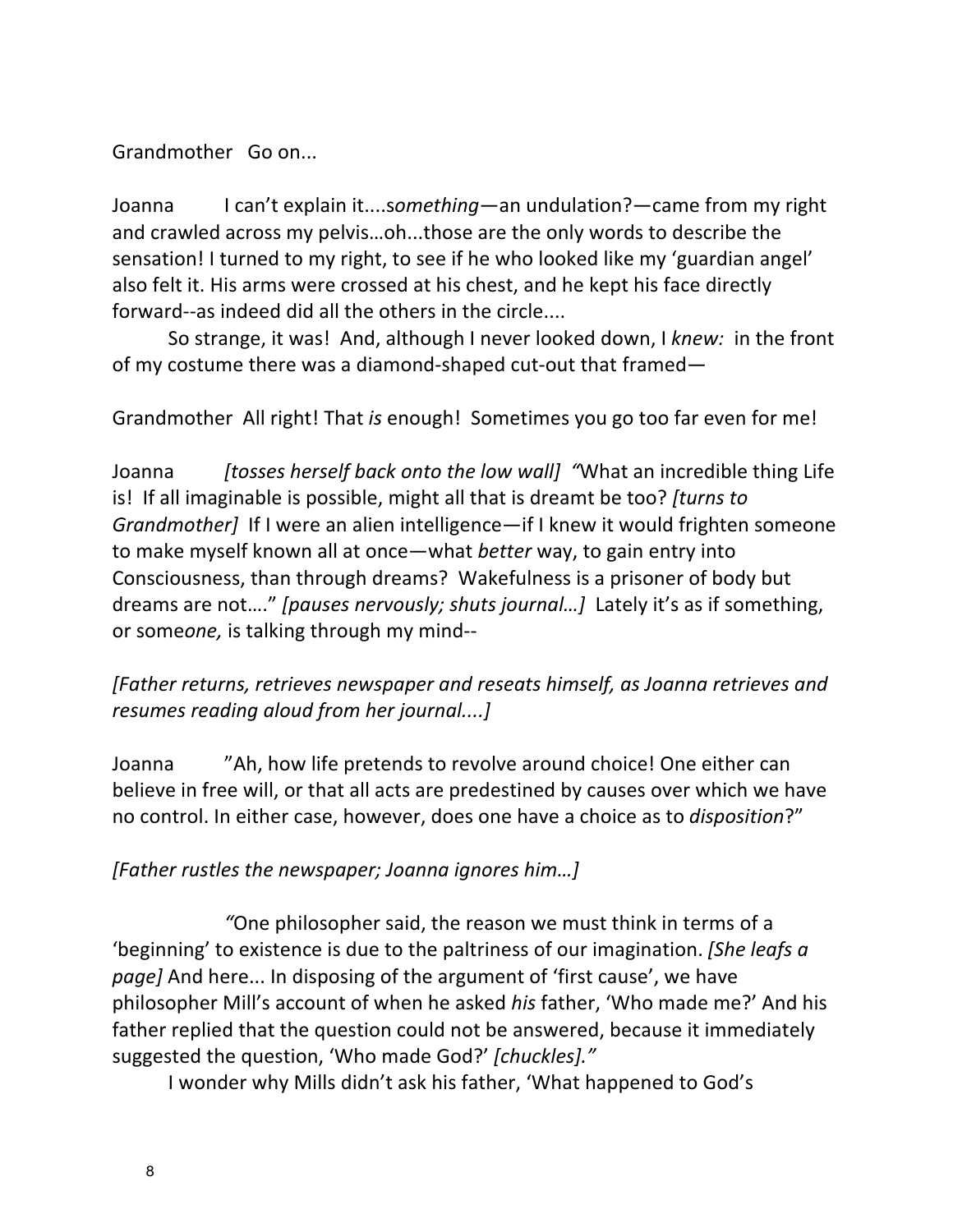Grandmother Go on...

Joanna I can't explain it....something—an undulation?—came from my right and crawled across my pelvis...oh...those are the only words to describe the sensation! I turned to my right, to see if he who looked like my 'guardian angel' also felt it. His arms were crossed at his chest, and he kept his face directly forward--as indeed did all the others in the circle....

So strange, it was! And, although I never looked down, I *knew:* in the front of my costume there was a diamond-shaped cut-out that framed—

Grandmother All right! That *is* enough! Sometimes you go too far even for me!

Joanna *[tosses herself back onto the low wall]* "What an incredible thing Life is! If all imaginable is possible, might all that is dreamt be too? *[turns to Grandmother]* If I were an alien intelligence—if I knew it would frighten someone to make myself known all at once—what *better* way, to gain entry into Consciousness, than through dreams? Wakefulness is a prisoner of body but dreams are not...." *[pauses nervously; shuts journal...]* Lately it's as if something, or someone, is talking through my mind--

*[Father returns, retrieves newspaper and reseats himself, as Joanna retrieves and resumes reading aloud from her journal....]* 

Joanna <sup>"</sup>Ah, how life pretends to revolve around choice! One either can believe in free will, or that all acts are predestined by causes over which we have no control. In either case, however, does one have a choice as to *disposition*?"

# *[Father rustles the newspaper; Joanna ignores him…]*

"One philosopher said, the reason we must think in terms of a 'beginning' to existence is due to the paltriness of our imagination. [She leafs a *page]* And here... In disposing of the argument of 'first cause', we have philosopher Mill's account of when he asked *his* father, 'Who made me?' And his father replied that the question could not be answered, because it immediately suggested the question, 'Who made God?' [chuckles]."

I wonder why Mills didn't ask his father, 'What happened to God's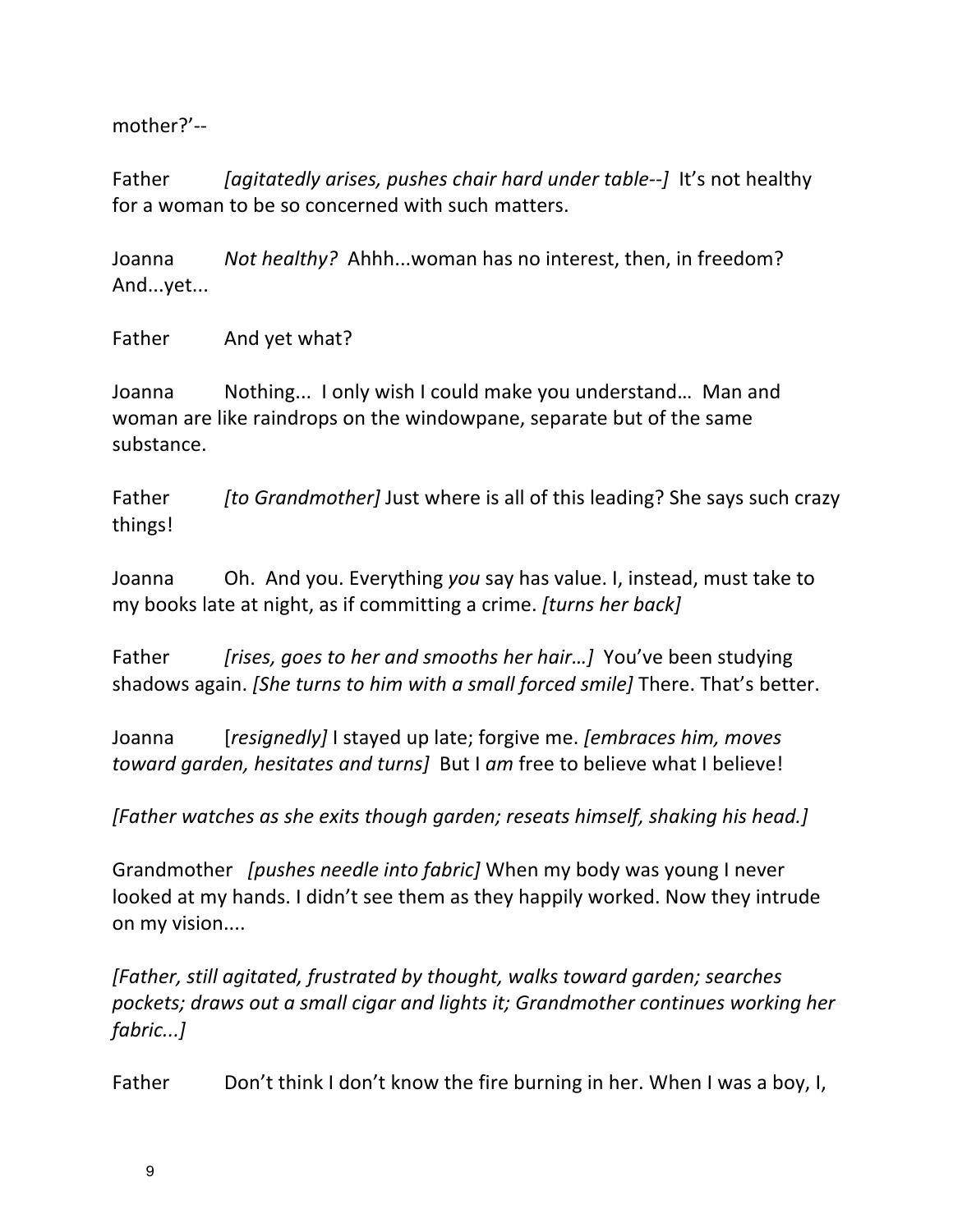mother?'--

Father *[agitatedly arises, pushes chair hard under table--]* It's not healthy for a woman to be so concerned with such matters.

Joanna *Not healthy?* Ahhh...woman has no interest, then, in freedom? And...yet...

Father And yet what?

Joanna Nothing... I only wish I could make you understand... Man and woman are like raindrops on the windowpane, separate but of the same substance.

Father *[to Grandmother]* Just where is all of this leading? She says such crazy things!

Joanna Oh. And you. Everything you say has value. I, instead, must take to my books late at night, as if committing a crime. *[turns her back]* 

Father *[rises, goes to her and smooths her hair...]* You've been studying shadows again. *[She turns to him with a small forced smile]* There. That's better.

Joanna *[resignedly]* I stayed up late; forgive me. *[embraces him, moves toward garden, hesitates and turns]* But I am free to believe what I believe!

**[Father** watches as she exits though garden; reseats himself, shaking his head.]

Grandmother *[pushes needle into fabric]* When my body was young I never looked at my hands. I didn't see them as they happily worked. Now they intrude on my vision....

*[Father, still agitated, frustrated by thought, walks toward garden; searches* pockets; draws out a small cigar and lights it; Grandmother continues working her *fabric...]*

Father Don't think I don't know the fire burning in her. When I was a boy, I,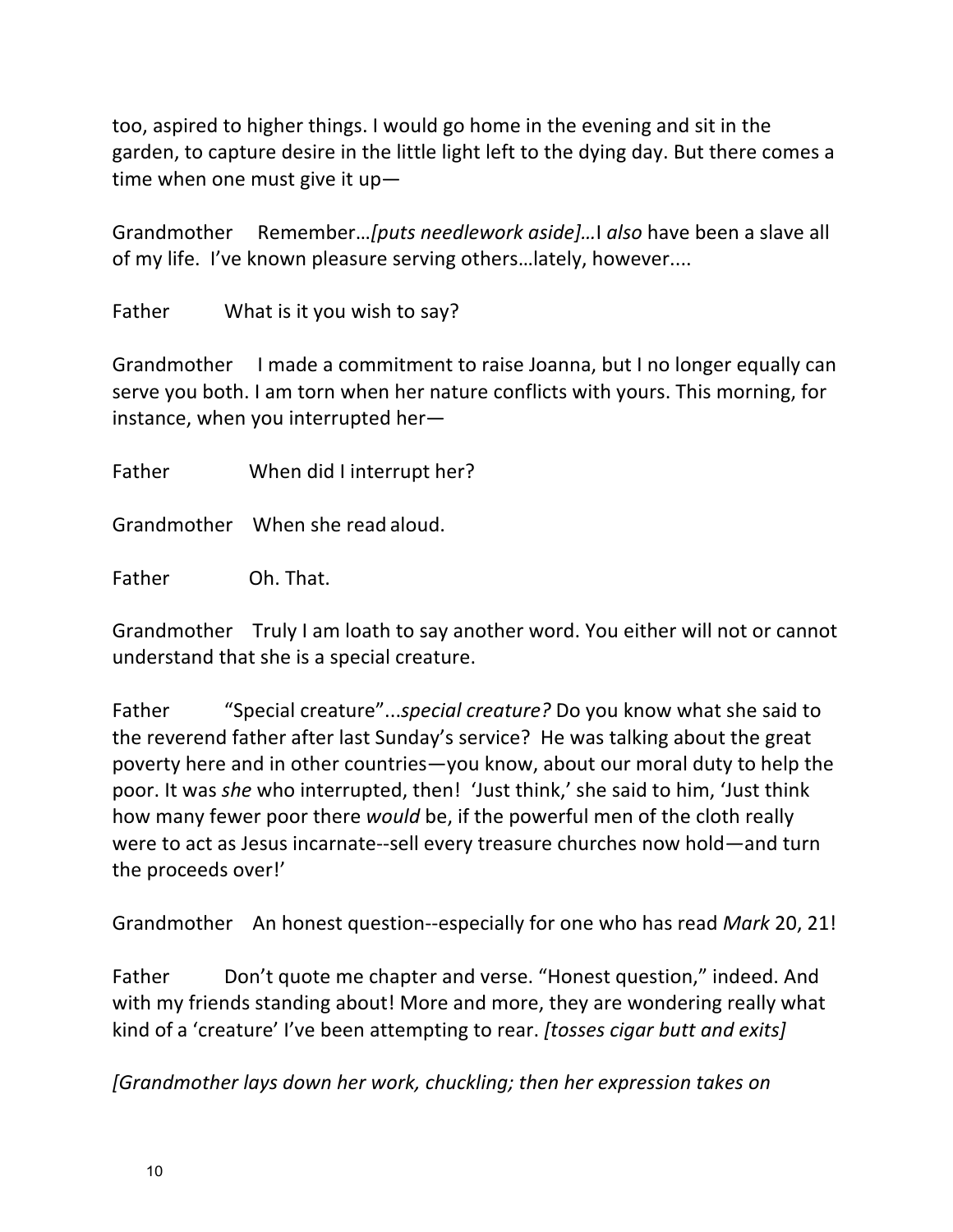too, aspired to higher things. I would go home in the evening and sit in the garden, to capture desire in the little light left to the dying day. But there comes a time when one must give it up-

Grandmother Remember...*[puts needlework aside]...*] also have been a slave all of my life. I've known pleasure serving others...lately, however....

Father What is it you wish to say?

Grandmother I made a commitment to raise Joanna, but I no longer equally can serve you both. I am torn when her nature conflicts with yours. This morning, for instance, when you interrupted her-

Father When did I interrupt her?

Grandmother When she read aloud.

Father Oh. That.

Grandmother Truly I am loath to say another word. You either will not or cannot understand that she is a special creature.

Father "Special creature"...special creature? Do you know what she said to the reverend father after last Sunday's service? He was talking about the great poverty here and in other countries—you know, about our moral duty to help the poor. It was *she* who interrupted, then! 'Just think,' she said to him, 'Just think how many fewer poor there *would* be, if the powerful men of the cloth really were to act as Jesus incarnate--sell every treasure churches now hold—and turn the proceeds over!'

Grandmother An honest question--especially for one who has read *Mark* 20, 21!

Father Don't quote me chapter and verse. "Honest question," indeed. And with my friends standing about! More and more, they are wondering really what kind of a 'creature' I've been attempting to rear. *[tosses cigar butt and exits]* 

*[Grandmother lays down her work, chuckling; then her expression takes on*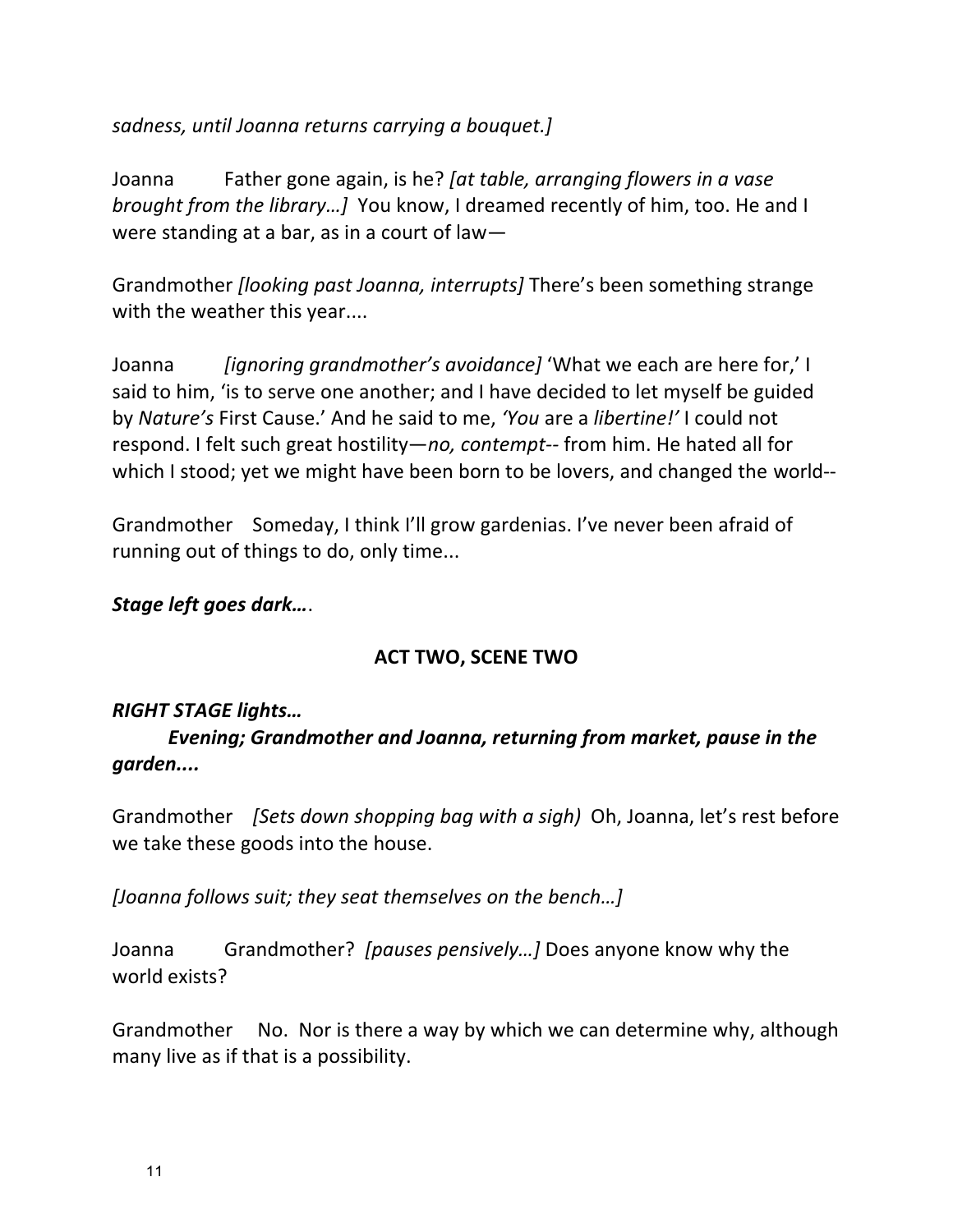sadness, until Joanna returns carrying a bouquet.]

Joanna Father gone again, is he? *[at table, arranging flowers in a vase brought from the library...]* You know, I dreamed recently of him, too. He and I were standing at a bar, as in a court of law-

Grandmother *[looking past Joanna, interrupts]* There's been something strange with the weather this year....

Joanna *[ignoring grandmother's avoidance]* 'What we each are here for,' I said to him, 'is to serve one another; and I have decided to let myself be guided by *Nature's* First Cause.' And he said to me, 'You are a *libertine!'* I could not respond. I felt such great hostility—*no, contempt*-- from him. He hated all for which I stood; yet we might have been born to be lovers, and changed the world--

Grandmother Someday, I think I'll grow gardenias. I've never been afraid of running out of things to do, only time...

## *Stage left goes dark…*.

# **ACT TWO, SCENE TWO**

### *RIGHT STAGE lights…*

*Evening; Grandmother and Joanna, returning from market, pause in the garden....*

Grandmother *[Sets down shopping bag with a sigh*) Oh, Joanna, let's rest before we take these goods into the house.

*[Joanna follows suit; they seat themselves on the bench…]*

Joanna Grandmother? *[pauses pensively...]* Does anyone know why the world exists?

Grandmother No. Nor is there a way by which we can determine why, although many live as if that is a possibility.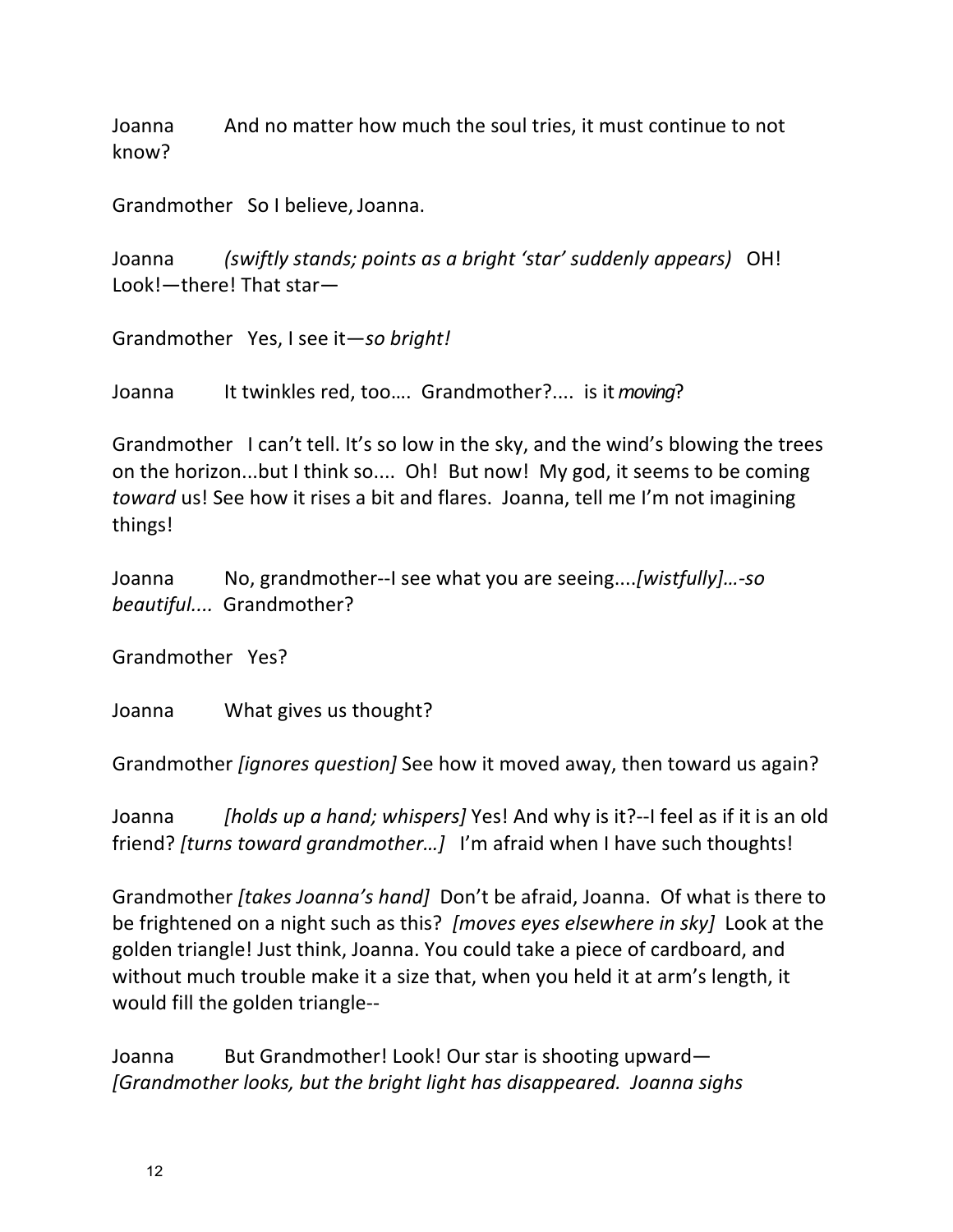Joanna Commandon and the Soul tries, it must continue to not know?

Grandmother So I believe, Joanna.

Joanna *(swiftly stands; points as a bright 'star' suddenly appears)* OH! Look!-there! That star-

Grandmother Yes, I see it-so bright!

Joanna It twinkles red, too.... Grandmother?.... is it *moving*?

Grandmother I can't tell. It's so low in the sky, and the wind's blowing the trees on the horizon...but I think so.... Oh! But now! My god, it seems to be coming *toward* us! See how it rises a bit and flares. Joanna, tell me I'm not imagining things!

Joanna No, grandmother--I see what you are seeing....*[wistfully]…-so* beautiful.... Grandmother?

Grandmother Yes?

Joanna What gives us thought?

Grandmother *[ignores question]* See how it moved away, then toward us again?

Joanna *[holds up a hand;* whispers] Yes! And why is it?--I feel as if it is an old friend? *[turns toward grandmother...]* I'm afraid when I have such thoughts!

Grandmother *[takes Joanna's hand]* Don't be afraid, Joanna. Of what is there to be frightened on a night such as this? *[moves eyes elsewhere in sky]* Look at the golden triangle! Just think, Joanna. You could take a piece of cardboard, and without much trouble make it a size that, when you held it at arm's length, it would fill the golden triangle--

Joanna But Grandmother! Look! Our star is shooting upward— *[Grandmother looks, but the bright light has disappeared. Joanna sighs*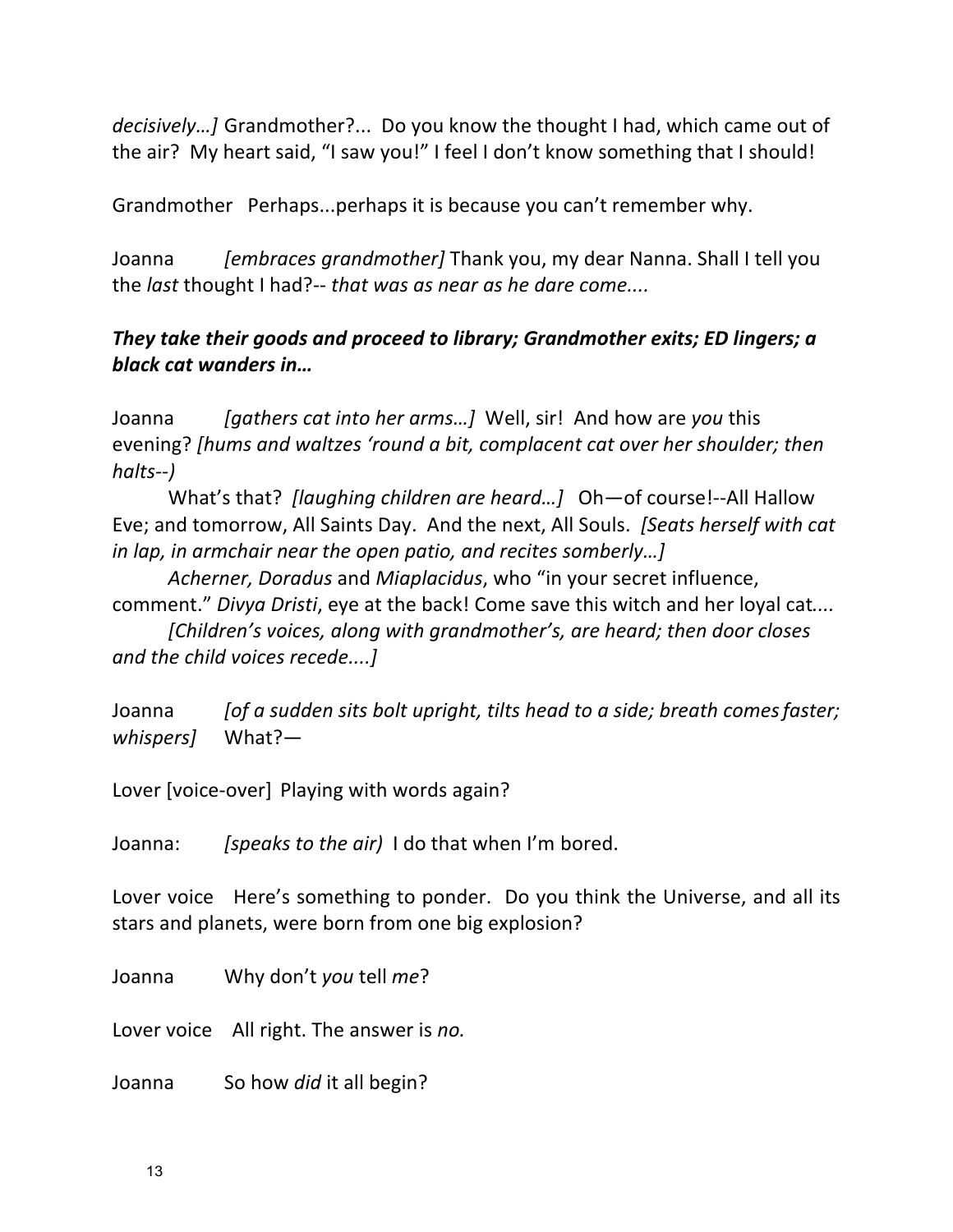*decisively...]* Grandmother?... Do you know the thought I had, which came out of the air? My heart said, "I saw you!" I feel I don't know something that I should!

Grandmother Perhaps...perhaps it is because you can't remember why.

Joanna *[embraces grandmother]* Thank you, my dear Nanna. Shall I tell you the *last* thought I had?-- *that* was as near as he dare come....

# *They take their goods and proceed to library; Grandmother exits; ED lingers; a black cat wanders in…*

Joanna *[qathers cat into her arms...]* Well, sir! And how are you this evening? *[hums and waltzes 'round a bit, complacent cat over her shoulder; then halts--)*

What's that? *[laughing children are heard...]* Oh-of course!--All Hallow Eve; and tomorrow, All Saints Day. And the next, All Souls. *[Seats herself with cat in lap, in armchair near the open patio, and recites somberly...]* 

Acherner, Doradus and Miaplacidus, who "in your secret influence, comment." *Divya Dristi*, eye at the back! Come save this witch and her loyal cat....

*[Children's voices, along with grandmother's, are heard; then door closes and the child voices recede....]* 

Joanna *[of a sudden sits bolt upright, tilts head to a side; breath comes faster; whispers]*  What?—

Lover [voice-over] Playing with words again?

Joanna: *[speaks to the air*] I do that when I'm bored.

Lover voice Here's something to ponder. Do you think the Universe, and all its stars and planets, were born from one big explosion?

Joanna Why don't you tell *me*?

Lover voice All right. The answer is *no*.

Joanna So how *did* it all begin?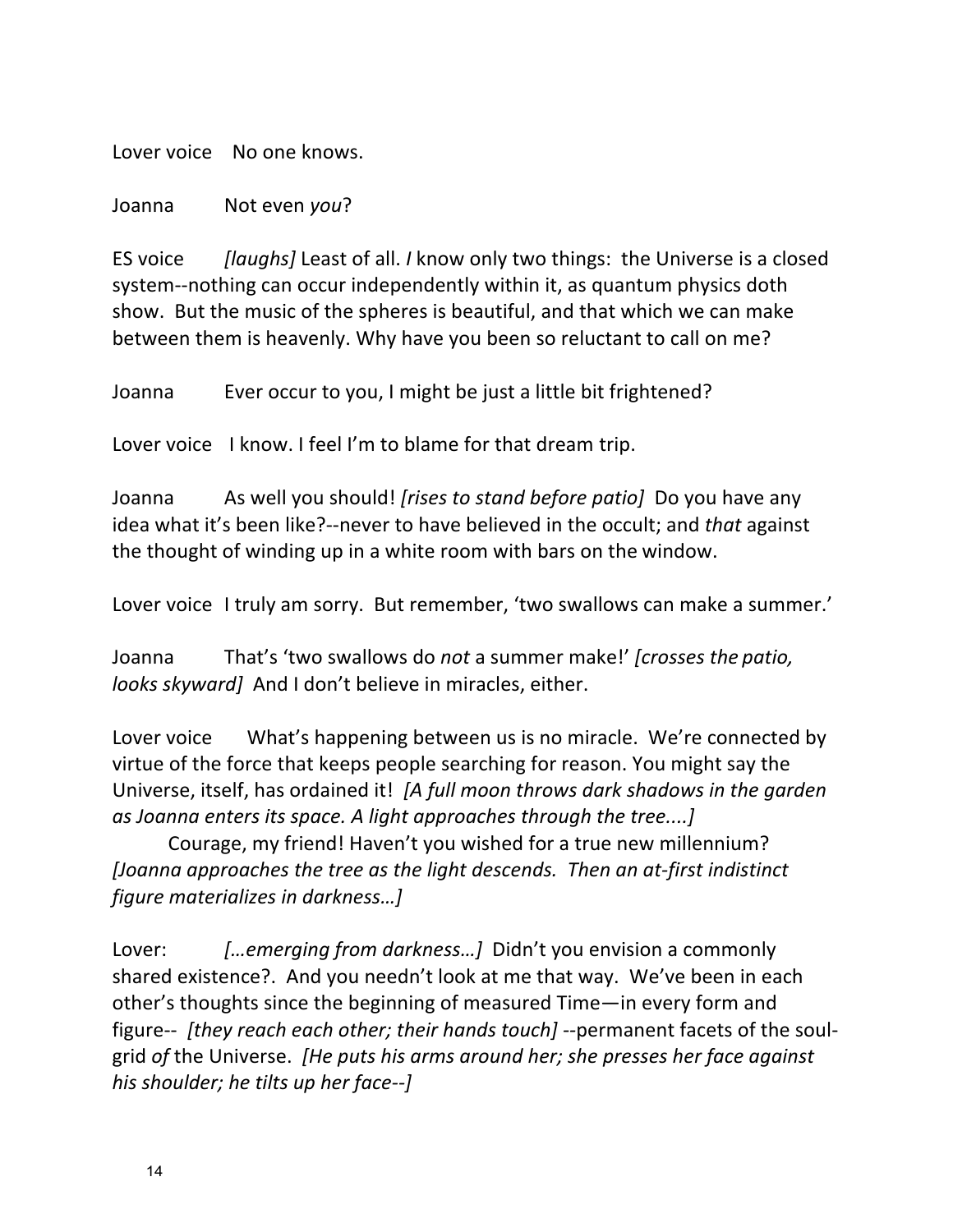Lover voice No one knows.

Joanna Not even *you*?

ES voice *[laughs]* Least of all. *I* know only two things: the Universe is a closed system--nothing can occur independently within it, as quantum physics doth show. But the music of the spheres is beautiful, and that which we can make between them is heavenly. Why have you been so reluctant to call on me?

Joanna Ever occur to you, I might be just a little bit frightened?

Lover voice I know. I feel I'm to blame for that dream trip.

Joanna As well you should! *[rises to stand before patio]* Do you have any idea what it's been like?--never to have believed in the occult; and *that* against the thought of winding up in a white room with bars on the window.

Lover voice I truly am sorry. But remember, 'two swallows can make a summer.'

Joanna That's 'two swallows do *not* a summer make!' *[crosses the patio, looks skyward* And I don't believe in miracles, either.

Lover voice What's happening between us is no miracle. We're connected by virtue of the force that keeps people searching for reason. You might say the Universe, itself, has ordained it! [A full moon throws dark shadows in the garden *as Joanna enters its space.* A light approaches through the tree....]

Courage, my friend! Haven't you wished for a true new millennium? *[Joanna approaches the tree as the light descends. Then an at-first indistinct figure materializes in darkness…]*

Lover: *[...emerging from darkness...]* Didn't you envision a commonly shared existence?. And you needn't look at me that way. We've been in each other's thoughts since the beginning of measured Time—in every form and figure-- *[they reach each other; their hands touch]* --permanent facets of the soulgrid of the Universe. *[He puts his arms around her; she presses her face against his shoulder; he tilts up her face--]*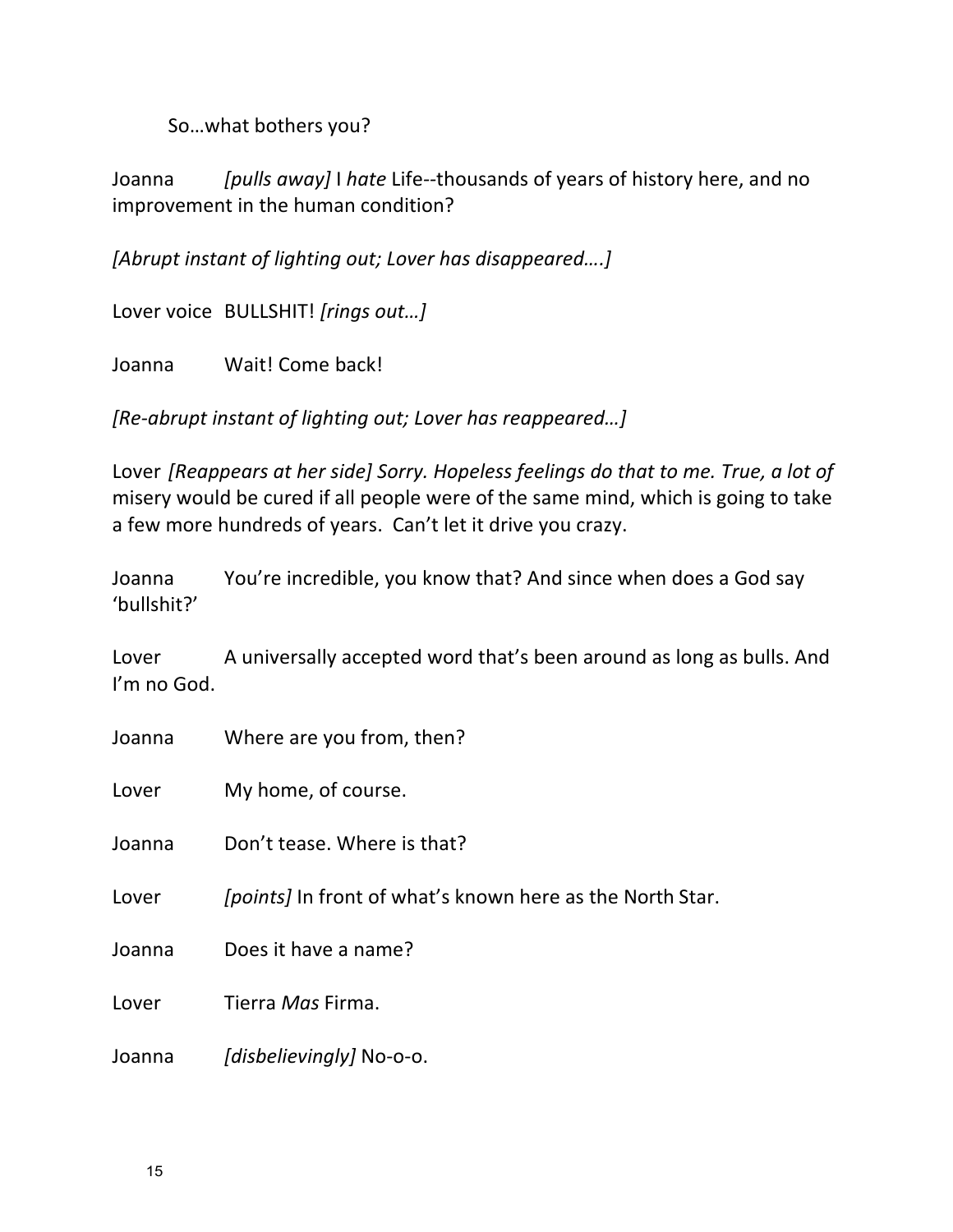So...what bothers you?

Joanna *[pulls away]* I *hate* Life--thousands of years of history here, and no improvement in the human condition?

*[Abrupt instant of lighting out; Lover has disappeared....]* 

Lover voice BULLSHIT! [rings out...]

Joanna Wait! Come back!

*[Re-abrupt instant of lighting out; Lover has reappeared...]* 

Lover *[Reappears at her side]* Sorry. Hopeless feelings do that to me. True, a lot of misery would be cured if all people were of the same mind, which is going to take a few more hundreds of years. Can't let it drive you crazy.

Joanna You're incredible, you know that? And since when does a God say 'bullshit?'

Lover A universally accepted word that's been around as long as bulls. And I'm no God.

Joanna Where are you from, then?

Lover My home, of course.

Joanna Don't tease. Where is that?

Lover *[points]* In front of what's known here as the North Star.

Joanna Does it have a name?

Lover Tierra *Mas* Firma.

Joanna *[disbelievingly]* No-o-o.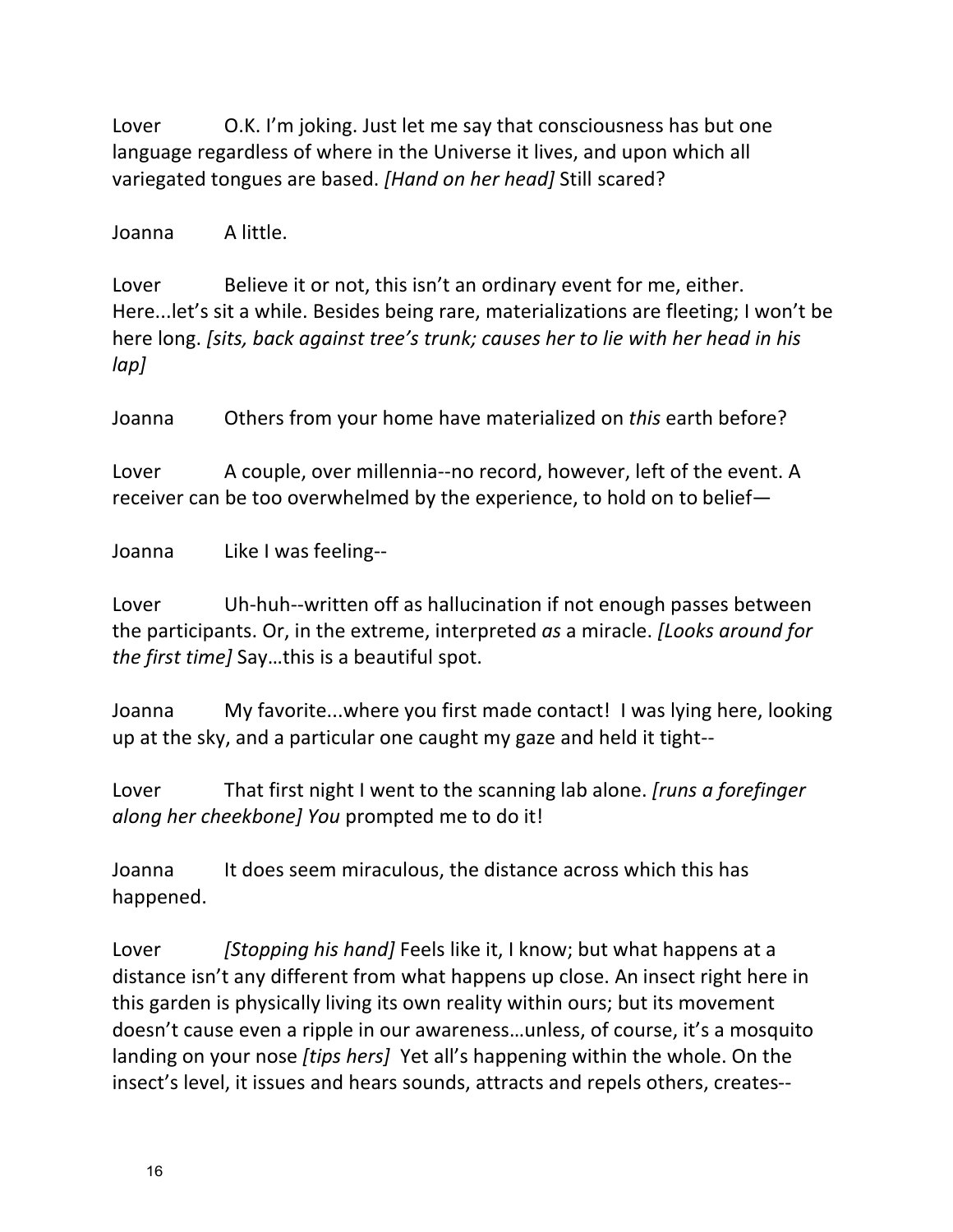Lover C.K. I'm joking. Just let me say that consciousness has but one language regardless of where in the Universe it lives, and upon which all variegated tongues are based. [Hand on her head] Still scared?

Joanna A little.

Lover Believe it or not, this isn't an ordinary event for me, either. Here...let's sit a while. Besides being rare, materializations are fleeting; I won't be here long. *[sits, back against tree's trunk; causes her to lie with her head in his lap]*

Joanna Others from your home have materialized on *this* earth before?

Lover A couple, over millennia--no record, however, left of the event. A receiver can be too overwhelmed by the experience, to hold on to belief—

Joanna Like I was feeling--

Lover Uh-huh--written off as hallucination if not enough passes between the participants. Or, in the extreme, interpreted *as* a miracle. *[Looks around for the first time]* Say...this is a beautiful spot.

Joanna My favorite...where you first made contact! I was lying here, looking up at the sky, and a particular one caught my gaze and held it tight--

Lover That first night I went to the scanning lab alone. *[runs a forefinger along her cheekbone]* You prompted me to do it!

Joanna It does seem miraculous, the distance across which this has happened.

Lover *[Stopping his hand]* Feels like it, I know; but what happens at a distance isn't any different from what happens up close. An insect right here in this garden is physically living its own reality within ours; but its movement doesn't cause even a ripple in our awareness...unless, of course, it's a mosquito landing on your nose *[tips hers]* Yet all's happening within the whole. On the insect's level, it issues and hears sounds, attracts and repels others, creates--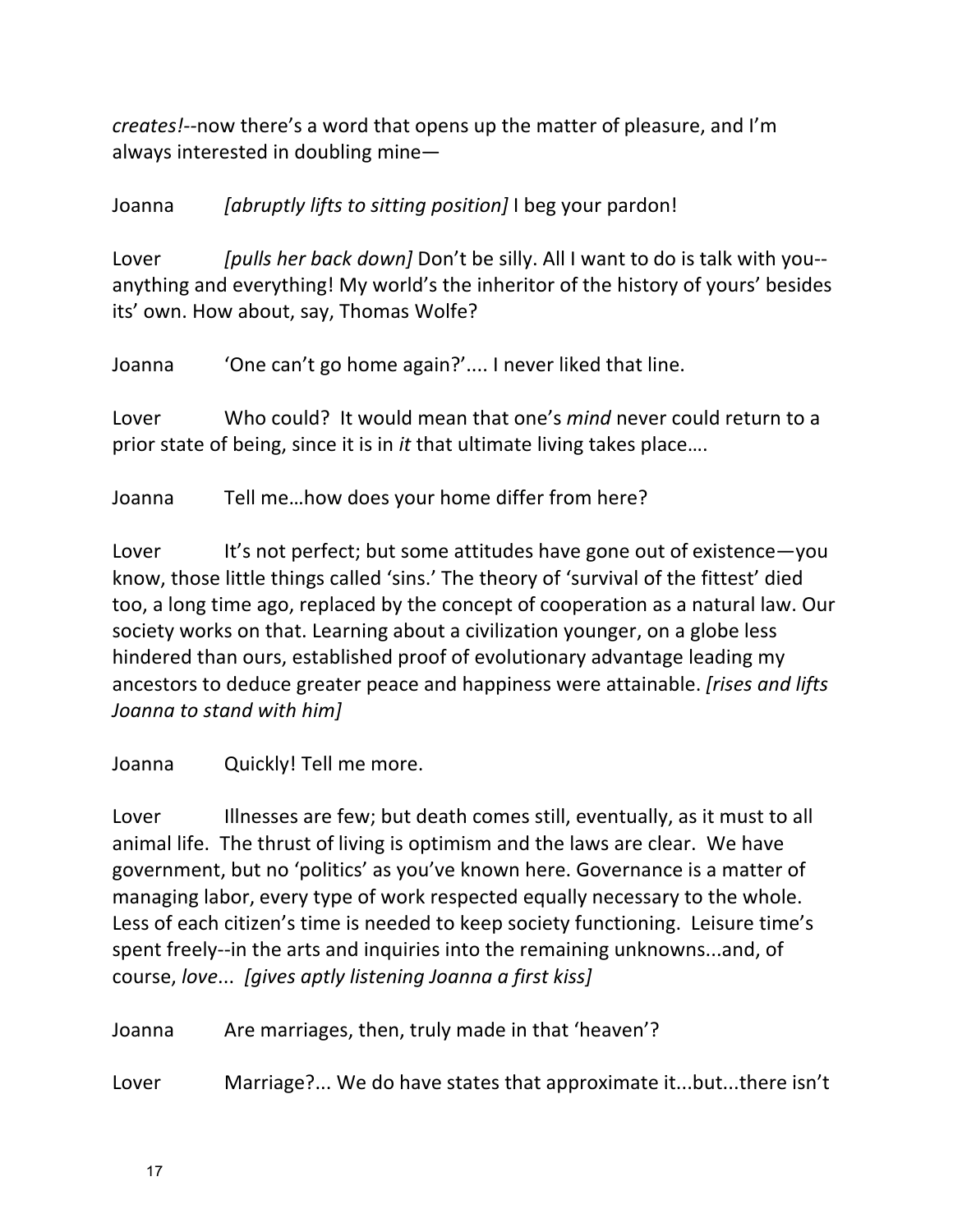*creates!*--now there's a word that opens up the matter of pleasure, and I'm always interested in doubling mine $-$ 

Joanna *[abruptly lifts to sitting position]* I beg your pardon!

Lover *[pulls her back down]* Don't be silly. All I want to do is talk with you-anything and everything! My world's the inheritor of the history of yours' besides its' own. How about, say, Thomas Wolfe?

Joanna 'One can't go home again?'.... I never liked that line.

Lover Who could? It would mean that one's *mind* never could return to a prior state of being, since it is in *it* that ultimate living takes place....

Joanna Tell me...how does your home differ from here?

Lover It's not perfect; but some attitudes have gone out of existence-you know, those little things called 'sins.' The theory of 'survival of the fittest' died too, a long time ago, replaced by the concept of cooperation as a natural law. Our society works on that. Learning about a civilization younger, on a globe less hindered than ours, established proof of evolutionary advantage leading my ancestors to deduce greater peace and happiness were attainable. *[rises and lifts Joanna to stand with him]*

Joanna Quickly! Tell me more.

Lover Illnesses are few; but death comes still, eventually, as it must to all animal life. The thrust of living is optimism and the laws are clear. We have government, but no 'politics' as you've known here. Governance is a matter of managing labor, every type of work respected equally necessary to the whole. Less of each citizen's time is needed to keep society functioning. Leisure time's spent freely--in the arts and inquiries into the remaining unknowns...and, of course, love... [gives aptly listening Joanna a first kiss]

Joanna Are marriages, then, truly made in that 'heaven'?

Lover Marriage?... We do have states that approximate it...but...there isn't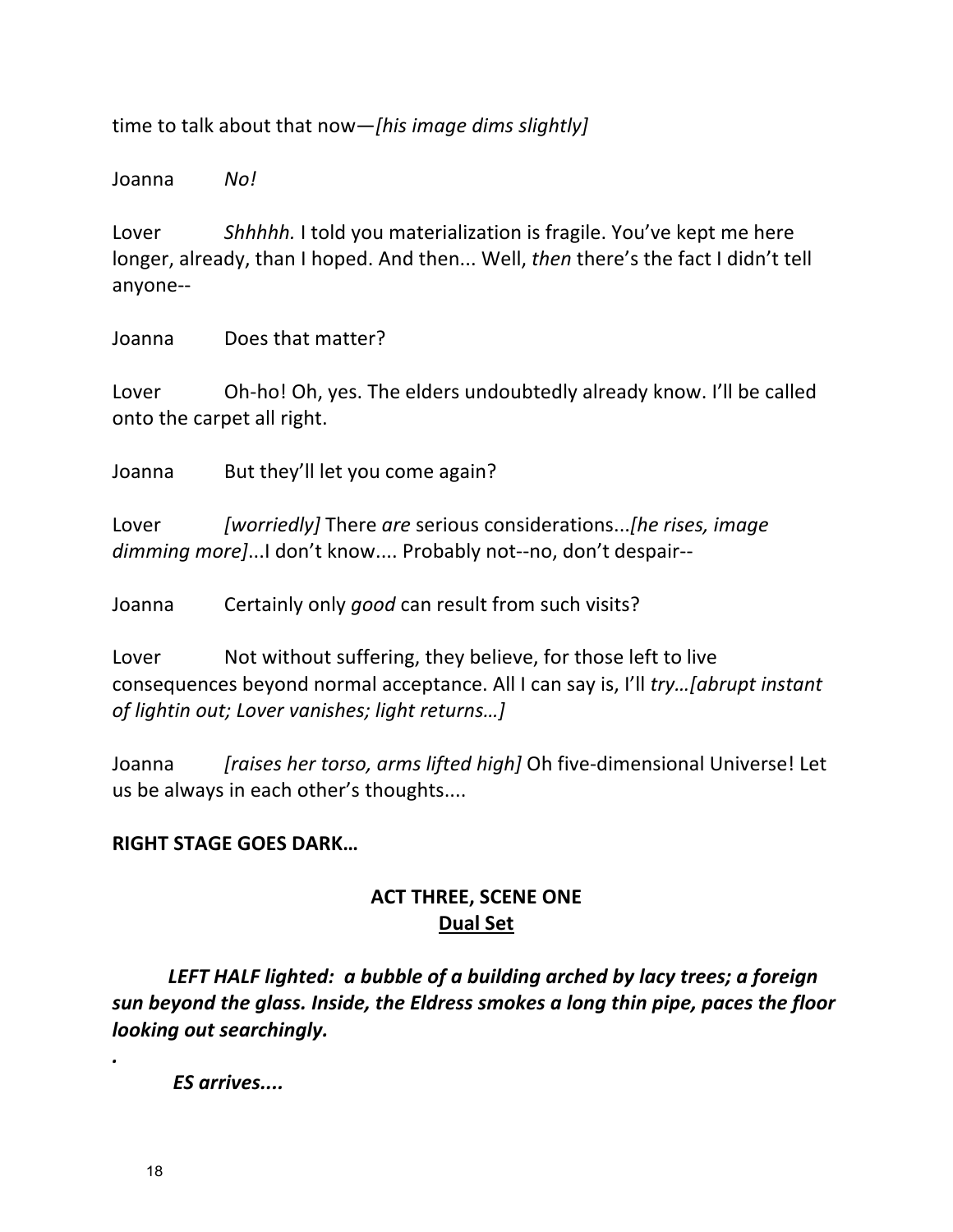time to talk about that now—[his image dims slightly]

Joanna *No!*

Lover Shhhhh. I told you materialization is fragile. You've kept me here longer, already, than I hoped. And then... Well, then there's the fact I didn't tell anyone--

Joanna Does that matter?

Lover Oh-ho! Oh, yes. The elders undoubtedly already know. I'll be called onto the carpet all right.

Joanna But they'll let you come again?

Lover *[worriedly]* There are serious considerations...*[he rises, image* dimming more]...I don't know.... Probably not--no, don't despair--

Joanna Certainly only *good* can result from such visits?

Lover Not without suffering, they believe, for those left to live consequences beyond normal acceptance. All I can say is, I'll *try...[abrupt instant of lightin out; Lover vanishes; light returns...]* 

Joanna *[raises her torso, arms lifted high]* Oh five-dimensional Universe! Let us be always in each other's thoughts....

### **RIGHT STAGE GOES DARK...**

## **ACT THREE, SCENE ONE Dual Set**

LEFT HALF lighted: a bubble of a building arched by lacy trees; a foreign sun beyond the glass. Inside, the Eldress smokes a long thin pipe, paces the floor *looking out searchingly.* 

*ES arrives....*

*.*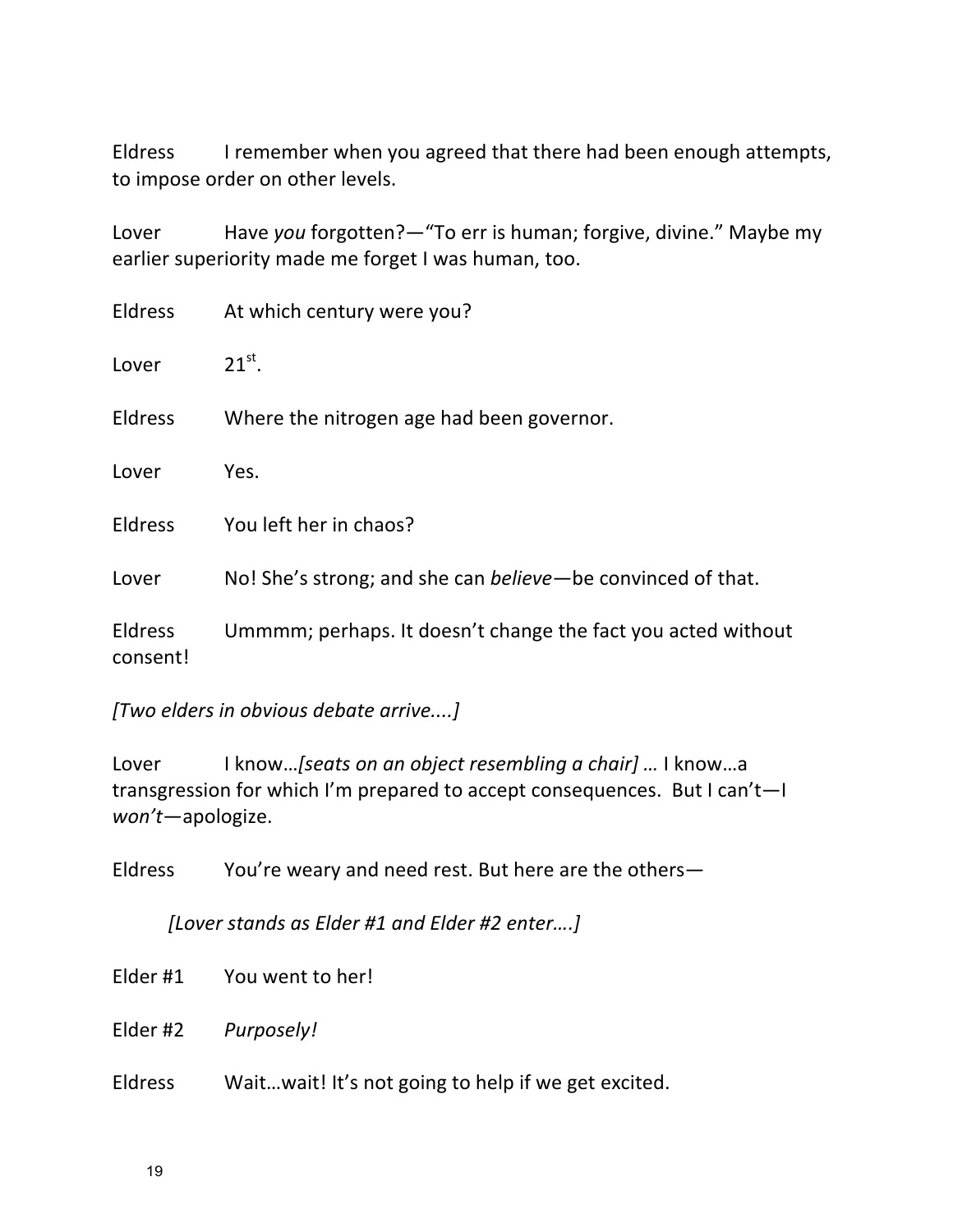Eldress Iremember when you agreed that there had been enough attempts, to impose order on other levels.

Lover Have you forgotten?-"To err is human; forgive, divine." Maybe my earlier superiority made me forget I was human, too.

| Eldress                    | At which century were you?                                   |
|----------------------------|--------------------------------------------------------------|
| Lover                      | $21^{st}$ .                                                  |
| <b>Eldress</b>             | Where the nitrogen age had been governor.                    |
| Lover                      | Yes.                                                         |
| <b>Eldress</b>             | You left her in chaos?                                       |
| Lover                      | No! She's strong; and she can believe—be convinced of that.  |
| <b>Eldress</b><br>consent! | Ummmm; perhaps. It doesn't change the fact you acted without |

*[Two elders in obvious debate arrive....]*

Lover I know...*[seats on an object resembling a chair] ...* I know...a transgression for which I'm prepared to accept consequences. But I can't-I *won't*—apologize.

Eldress You're weary and need rest. But here are the others-

*[Lover stands as Elder #1 and Elder #2 enter….]*

Elder #1 You went to her!

Elder #2 *Purposely!*

Eldress Wait...wait! It's not going to help if we get excited.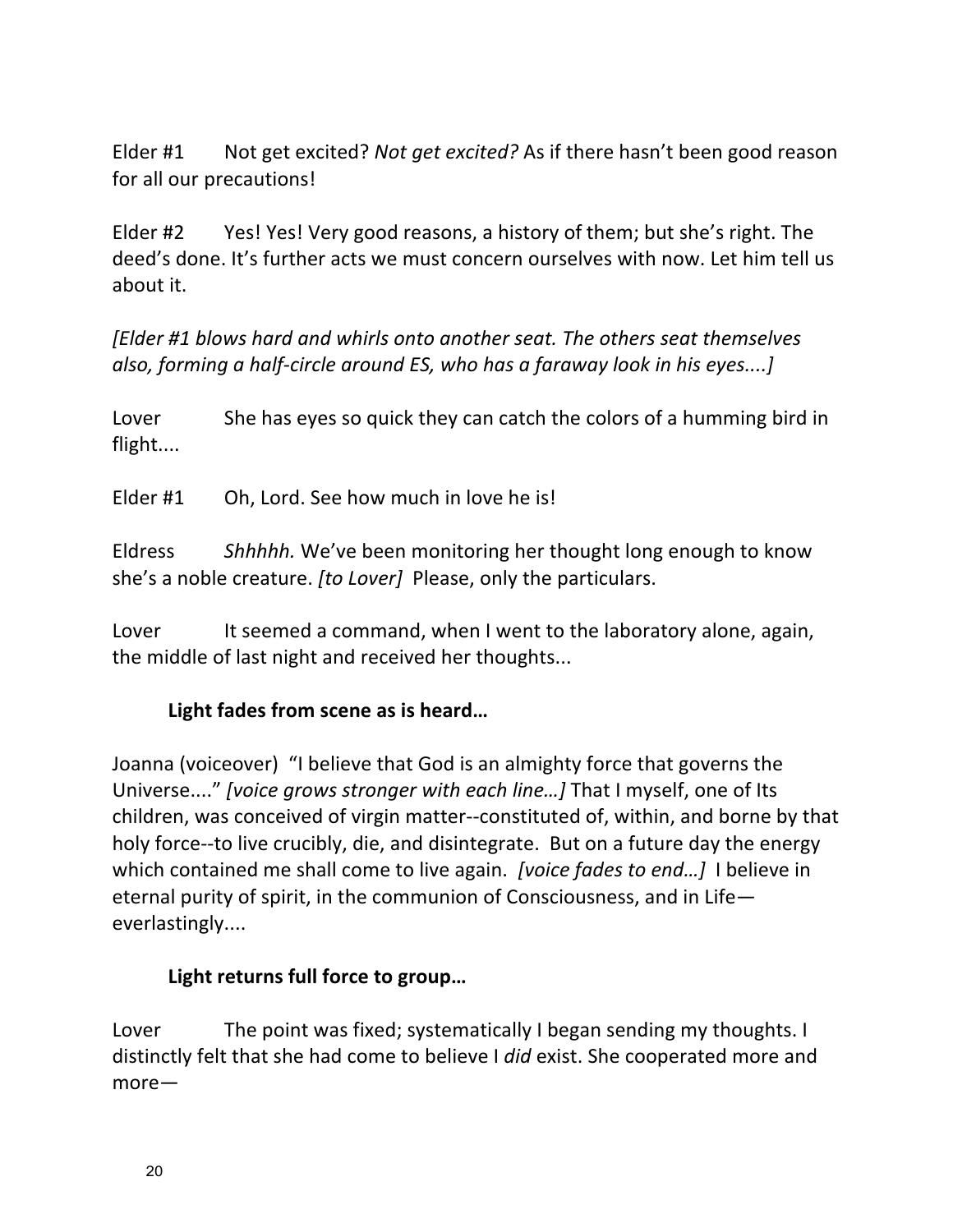Elder #1 Not get excited? *Not get excited?* As if there hasn't been good reason for all our precautions!

Elder #2 Yes! Yes! Very good reasons, a history of them; but she's right. The deed's done. It's further acts we must concern ourselves with now. Let him tell us about it.

*[Elder #1 blows hard and whirls onto another seat. The others seat themselves also, forming a half-circle around ES, who has a faraway look in his eyes....]* 

Lover She has eyes so quick they can catch the colors of a humming bird in flight....

Elder #1 Oh, Lord. See how much in love he is!

Eldress Shhhhh. We've been monitoring her thought long enough to know she's a noble creature. *[to Lover]* Please, only the particulars.

Lover It seemed a command, when I went to the laboratory alone, again, the middle of last night and received her thoughts...

# Light fades from scene as is heard...

Joanna (voiceover) "I believe that God is an almighty force that governs the Universe...." *[voice grows stronger with each line...]* That I myself, one of Its children, was conceived of virgin matter--constituted of, within, and borne by that holy force--to live crucibly, die, and disintegrate. But on a future day the energy which contained me shall come to live again. *[voice fades to end...]* I believe in eternal purity of spirit, in the communion of Consciousness, and in Life $$ everlastingly....

### Light returns full force to group...

Lover The point was fixed; systematically I began sending my thoughts. I distinctly felt that she had come to believe I *did* exist. She cooperated more and more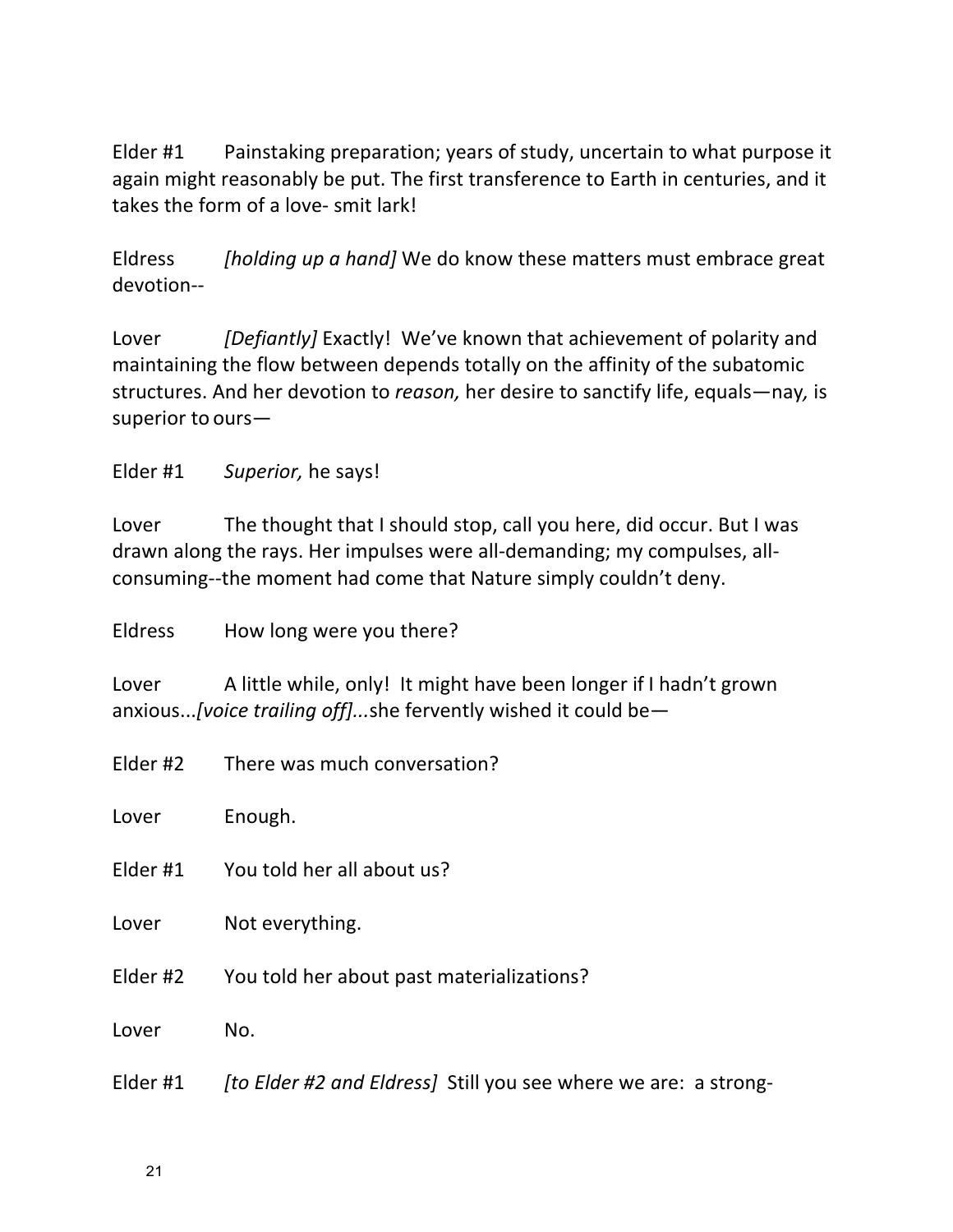Elder #1 Painstaking preparation; years of study, uncertain to what purpose it again might reasonably be put. The first transference to Earth in centuries, and it takes the form of a love- smit lark!

Eldress *[holding up a hand]* We do know these matters must embrace great devotion--

Lover *[Defiantly]* Exactly! We've known that achievement of polarity and maintaining the flow between depends totally on the affinity of the subatomic structures. And her devotion to *reason*, her desire to sanctify life, equals—nay, is superior to ours $-$ 

Elder #1 Superior, he says!

Lover The thought that I should stop, call you here, did occur. But I was drawn along the rays. Her impulses were all-demanding; my compulses, allconsuming--the moment had come that Nature simply couldn't deny.

Eldress How long were you there?

Lover A little while, only! It might have been longer if I hadn't grown anxious...*[voice trailing off]...*she fervently wished it could be—

|          | Elder #2 There was much conversation?     |
|----------|-------------------------------------------|
| Lover    | Enough.                                   |
| Elder #1 | You told her all about us?                |
| Lover    | Not everything.                           |
| Elder #2 | You told her about past materializations? |
| Lover    | No.                                       |
|          |                                           |

Elder #1 *[to Elder #2 and Eldress]* Still you see where we are: a strong-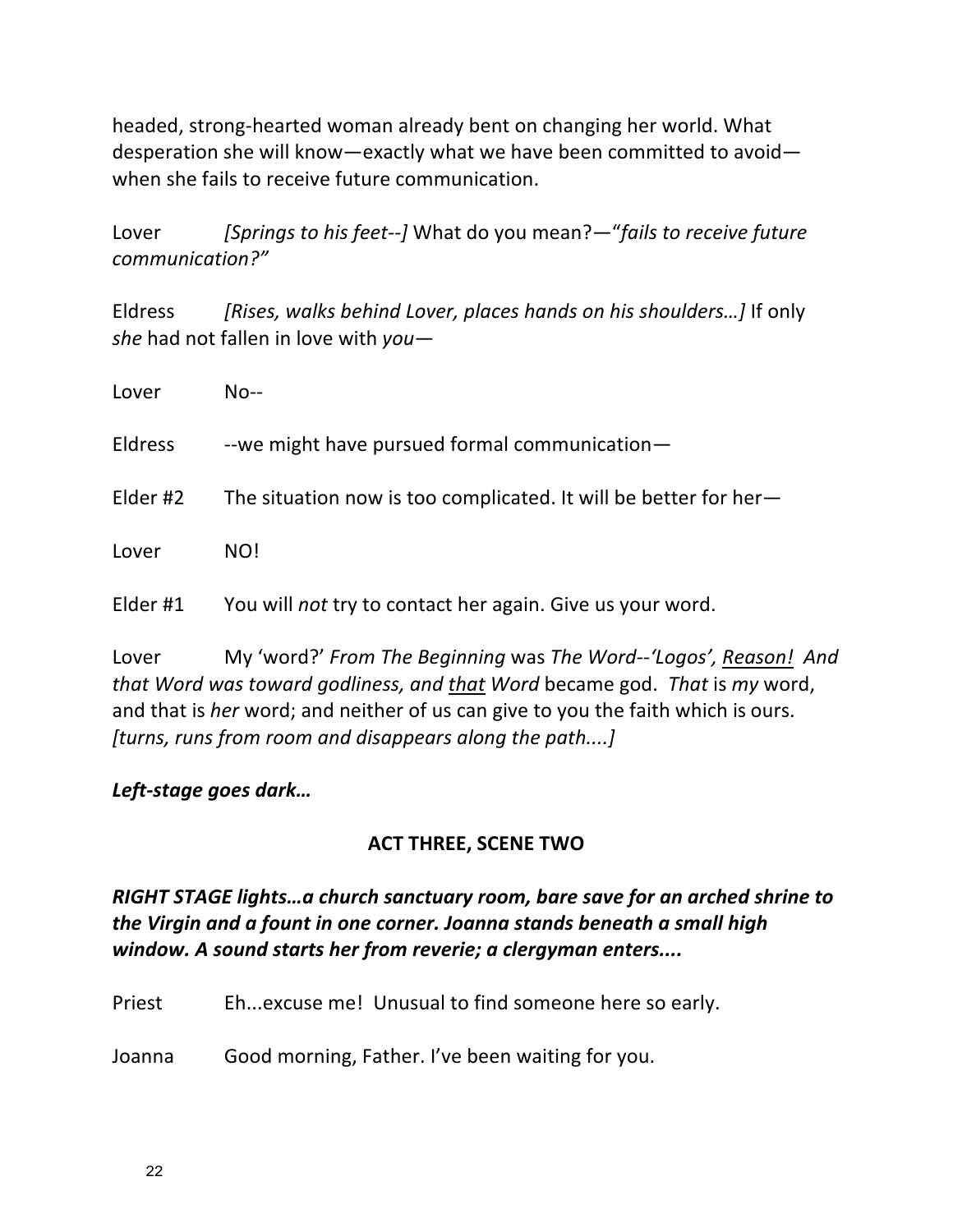headed, strong-hearted woman already bent on changing her world. What desperation she will know—exactly what we have been committed to avoid when she fails to receive future communication.

Lover *[Springs to his feet--]* What do you mean?—"*fails to receive future communication?"*

Eldress *[Rises, walks behind Lover, places hands on his shoulders...]* If only *she* had not fallen in love with *you*-

| Lover    | $No--$                                                           |
|----------|------------------------------------------------------------------|
| Eldress  | --we might have pursued formal communication-                    |
| Elder #2 | The situation now is too complicated. It will be better for her- |
| Lover    | NO!                                                              |
| Elder #1 | You will not try to contact her again. Give us your word.        |

Lover My 'word?' From The Beginning was The Word--'Logos', Reason! And *that* Word was *toward godliness, and that Word* became god. That is my word, and that is *her* word; and neither of us can give to you the faith which is ours. *[turns, runs from room and disappears along the path....]* 

### *Left-stage goes dark…*

# **ACT THREE, SCENE TWO**

## *RIGHT STAGE lights...a* church sanctuary room, bare save for an arched shrine to *the Virgin and a fount in one corner. Joanna stands beneath a small high* window. A sound starts her from reverie; a clergyman enters....

Priest Eh...excuse me! Unusual to find someone here so early.

Joanna Good morning, Father. I've been waiting for you.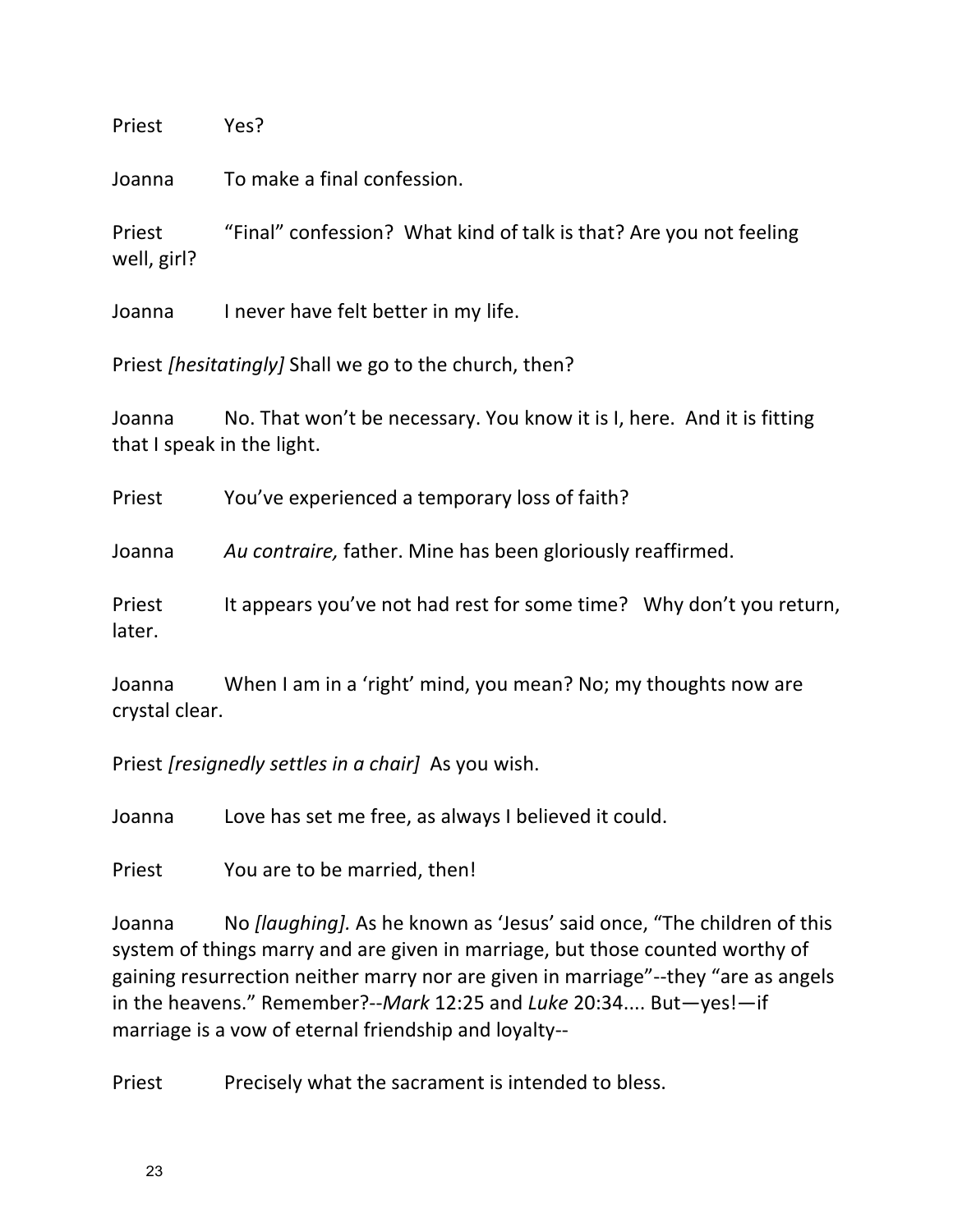Priest Yes?

Joanna To make a final confession.

Priest "Final" confession? What kind of talk is that? Are you not feeling well, girl?

Joanna I never have felt better in my life.

Priest *[hesitatingly]* Shall we go to the church, then?

Joanna No. That won't be necessary. You know it is I, here. And it is fitting that I speak in the light.

Priest You've experienced a temporary loss of faith?

Joanna *Au contraire,* father. Mine has been gloriously reaffirmed.

Priest It appears you've not had rest for some time? Why don't you return, later.

Joanna When I am in a 'right' mind, you mean? No; my thoughts now are crystal clear.

Priest *[resignedly settles in a chair]* As you wish.

Joanna Love has set me free, as always I believed it could.

Priest You are to be married, then!

Joanna No *[laughing]*. As he known as 'Jesus' said once, "The children of this system of things marry and are given in marriage, but those counted worthy of gaining resurrection neither marry nor are given in marriage"--they "are as angels in the heavens." Remember?--*Mark* 12:25 and *Luke* 20:34.... But—yes!—if marriage is a vow of eternal friendship and loyalty--

Priest Precisely what the sacrament is intended to bless.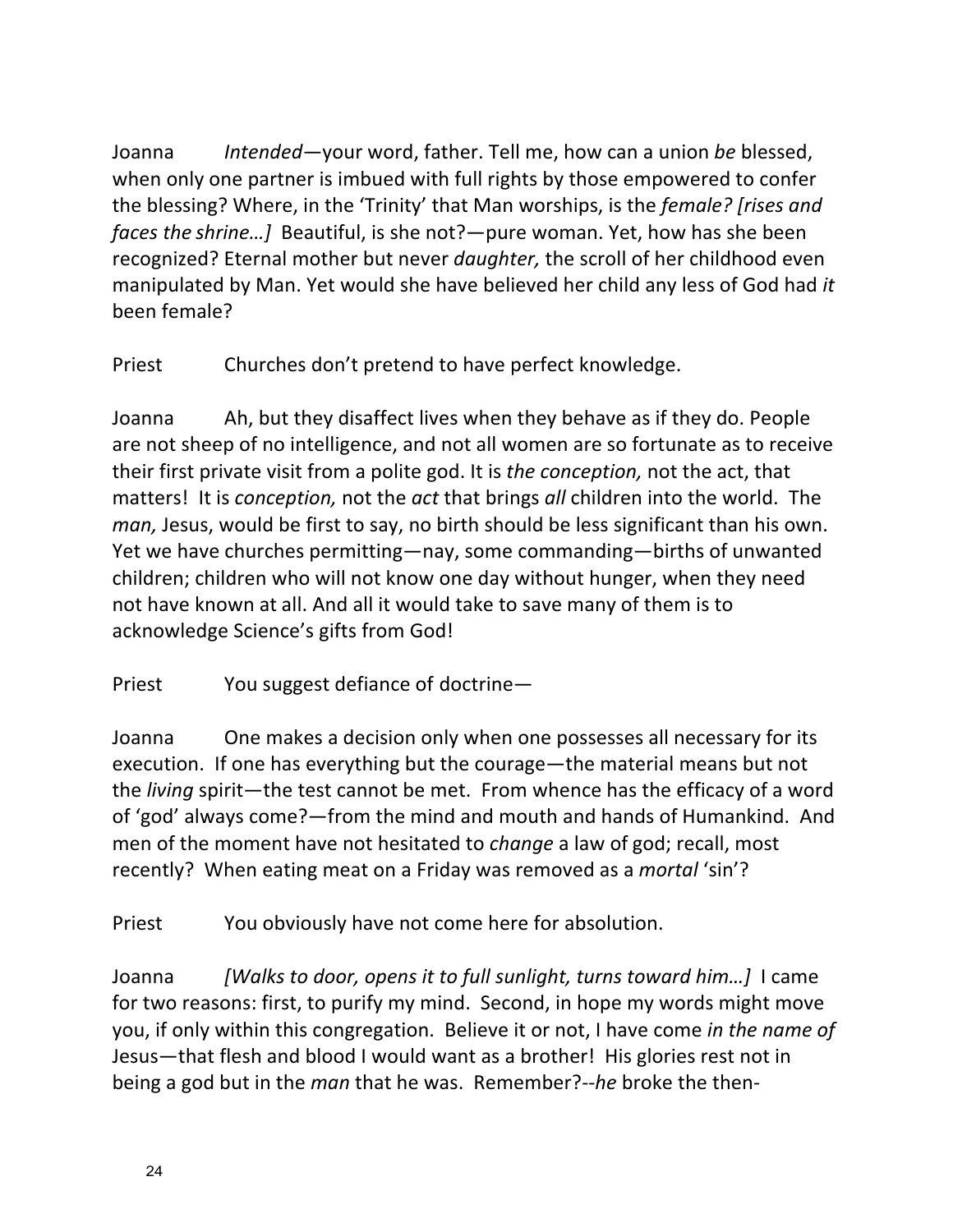Joanna *Intended*—your word, father. Tell me, how can a union *be* blessed, when only one partner is imbued with full rights by those empowered to confer the blessing? Where, in the 'Trinity' that Man worships, is the *female? [rises and faces the shrine...]* Beautiful, is she not?—pure woman. Yet, how has she been recognized? Eternal mother but never *daughter*, the scroll of her childhood even manipulated by Man. Yet would she have believed her child any less of God had *it* been female?

Priest Churches don't pretend to have perfect knowledge.

Joanna Ah, but they disaffect lives when they behave as if they do. People are not sheep of no intelligence, and not all women are so fortunate as to receive their first private visit from a polite god. It is *the conception*, not the act, that matters! It is *conception*, not the *act* that brings *all* children into the world. The *man*, Jesus, would be first to say, no birth should be less significant than his own. Yet we have churches permitting—nay, some commanding—births of unwanted children; children who will not know one day without hunger, when they need not have known at all. And all it would take to save many of them is to acknowledge Science's gifts from God!

Priest You suggest defiance of doctrine—

Joanna One makes a decision only when one possesses all necessary for its execution. If one has everything but the courage—the material means but not the *living* spirit—the test cannot be met. From whence has the efficacy of a word of 'god' always come?—from the mind and mouth and hands of Humankind. And men of the moment have not hesitated to *change* a law of god; recall, most recently? When eating meat on a Friday was removed as a *mortal* 'sin'?

Priest You obviously have not come here for absolution.

Joanna *[Walks to door, opens it to full sunlight, turns toward him...]* I came for two reasons: first, to purify my mind. Second, in hope my words might move you, if only within this congregation. Believe it or not, I have come *in the name of* Jesus—that flesh and blood I would want as a brother! His glories rest not in being a god but in the *man* that he was. Remember?--he broke the then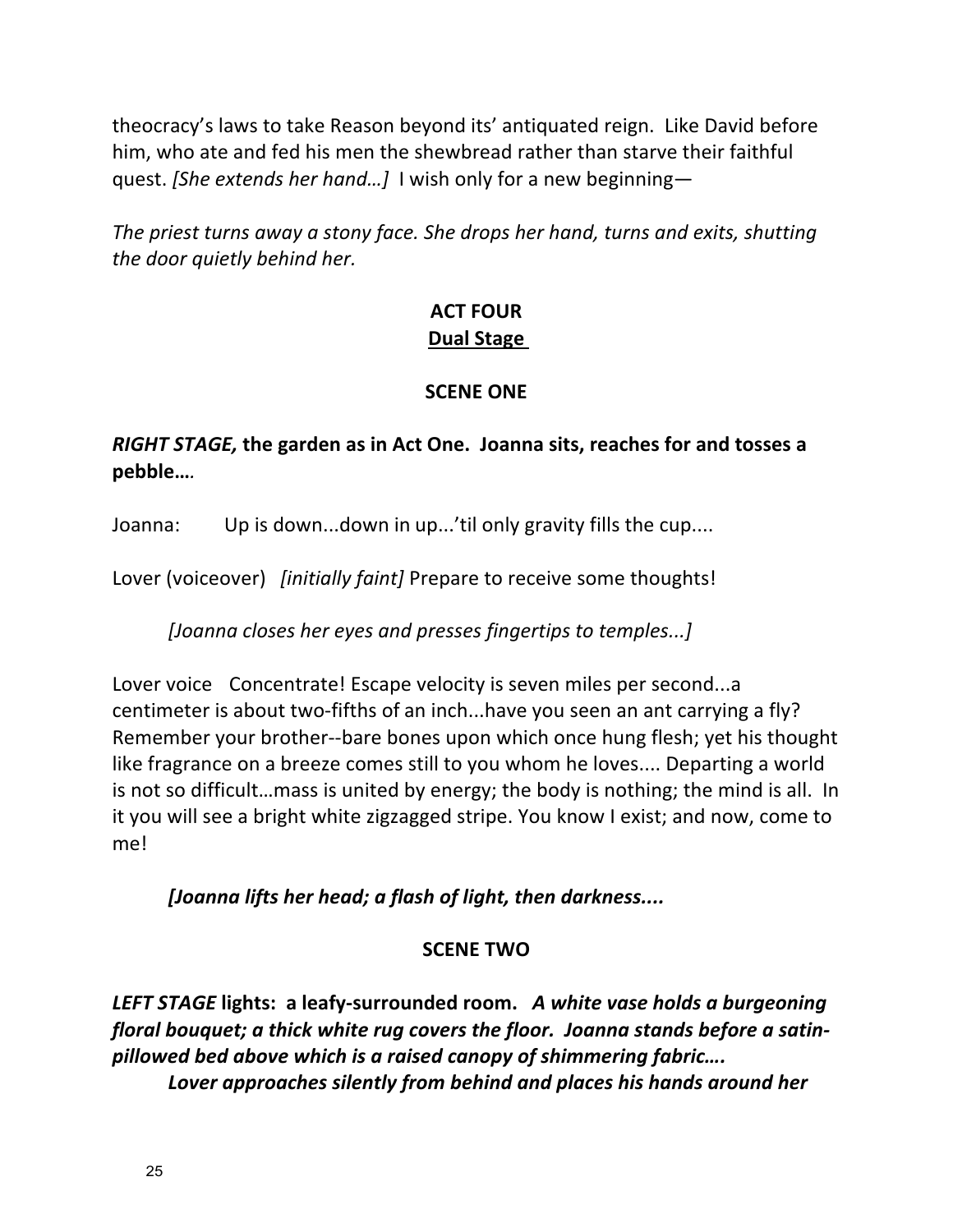theocracy's laws to take Reason beyond its' antiquated reign. Like David before him, who ate and fed his men the shewbread rather than starve their faithful quest. *[She extends her hand...]* I wish only for a new beginning—

*The priest turns away a stony face. She drops her hand, turns and exits, shutting the door quietly behind her.* 

# **ACT FOUR Dual Stage**

### **SCENE ONE**

## *RIGHT STAGE,* the garden as in Act One. Joanna sits, reaches for and tosses a **pebble…***.*

Joanna: Up is down...down in up...'til only gravity fills the cup....

Lover (voiceover) *[initially faint]* Prepare to receive some thoughts!

*[Joanna closes her eyes and presses fingertips to temples...]*

Lover voice Concentrate! Escape velocity is seven miles per second...a centimeter is about two-fifths of an inch...have you seen an ant carrying a fly? Remember your brother--bare bones upon which once hung flesh; yet his thought like fragrance on a breeze comes still to you whom he loves.... Departing a world is not so difficult...mass is united by energy; the body is nothing; the mind is all. In it you will see a bright white zigzagged stripe. You know I exist; and now, come to me!

*[Joanna lifts her head; a flash of light, then darkness....*

# **SCENE TWO**

LEFT STAGE lights: a leafy-surrounded room. A white vase holds a burgeoning *floral bouquet;* a thick white rug covers the floor. Joanna stands before a satin*pillowed bed above which is a raised canopy of shimmering fabric….*

Lover approaches silently from behind and places his hands around her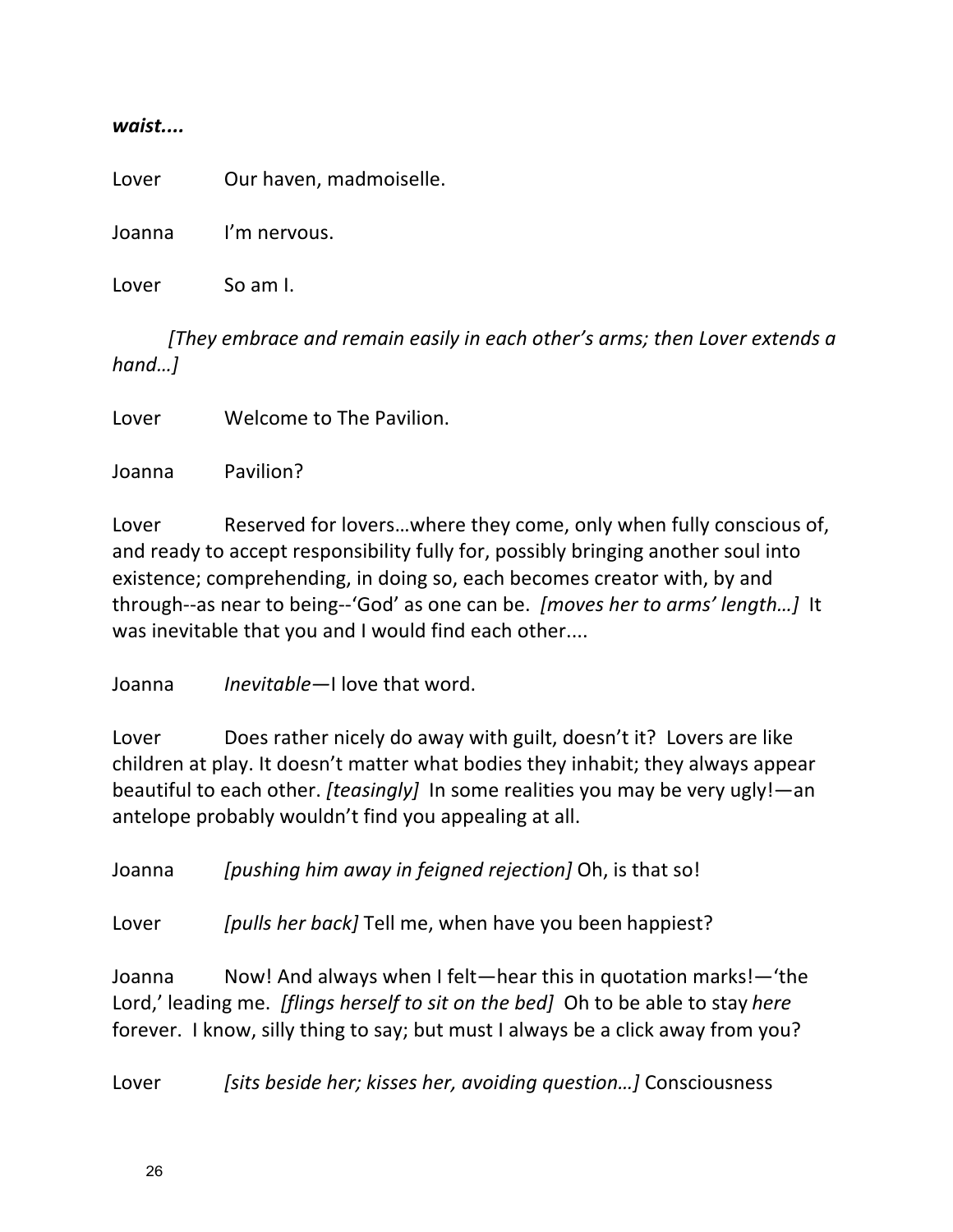#### *waist....*

Lover Our haven, madmoiselle.

Joanna I'm nervous.

Lover So am I.

*[They embrace and remain easily in each other's arms; then Lover extends a hand…]*

Lover Welcome to The Pavilion.

Joanna Pavilion?

Lover Reserved for lovers...where they come, only when fully conscious of, and ready to accept responsibility fully for, possibly bringing another soul into existence; comprehending, in doing so, each becomes creator with, by and through--as near to being--'God' as one can be. *[moves her to arms' length...]* It was inevitable that you and I would find each other....

Joanna *Inevitable*—I love that word.

Lover Does rather nicely do away with guilt, doesn't it? Lovers are like children at play. It doesn't matter what bodies they inhabit; they always appear beautiful to each other. *[teasingly]* In some realities you may be very ugly!—an antelope probably wouldn't find you appealing at all.

Joanna *[pushing him away in feigned rejection]* Oh, is that so!

Lover *[pulls her back]* Tell me, when have you been happiest?

Joanna Now! And always when I felt—hear this in quotation marks!— 'the Lord,' leading me. *[flings herself to sit on the bed]* Oh to be able to stay *here* forever. I know, silly thing to say; but must I always be a click away from you?

Lover *[sits beside her; kisses her, avoiding question...]* Consciousness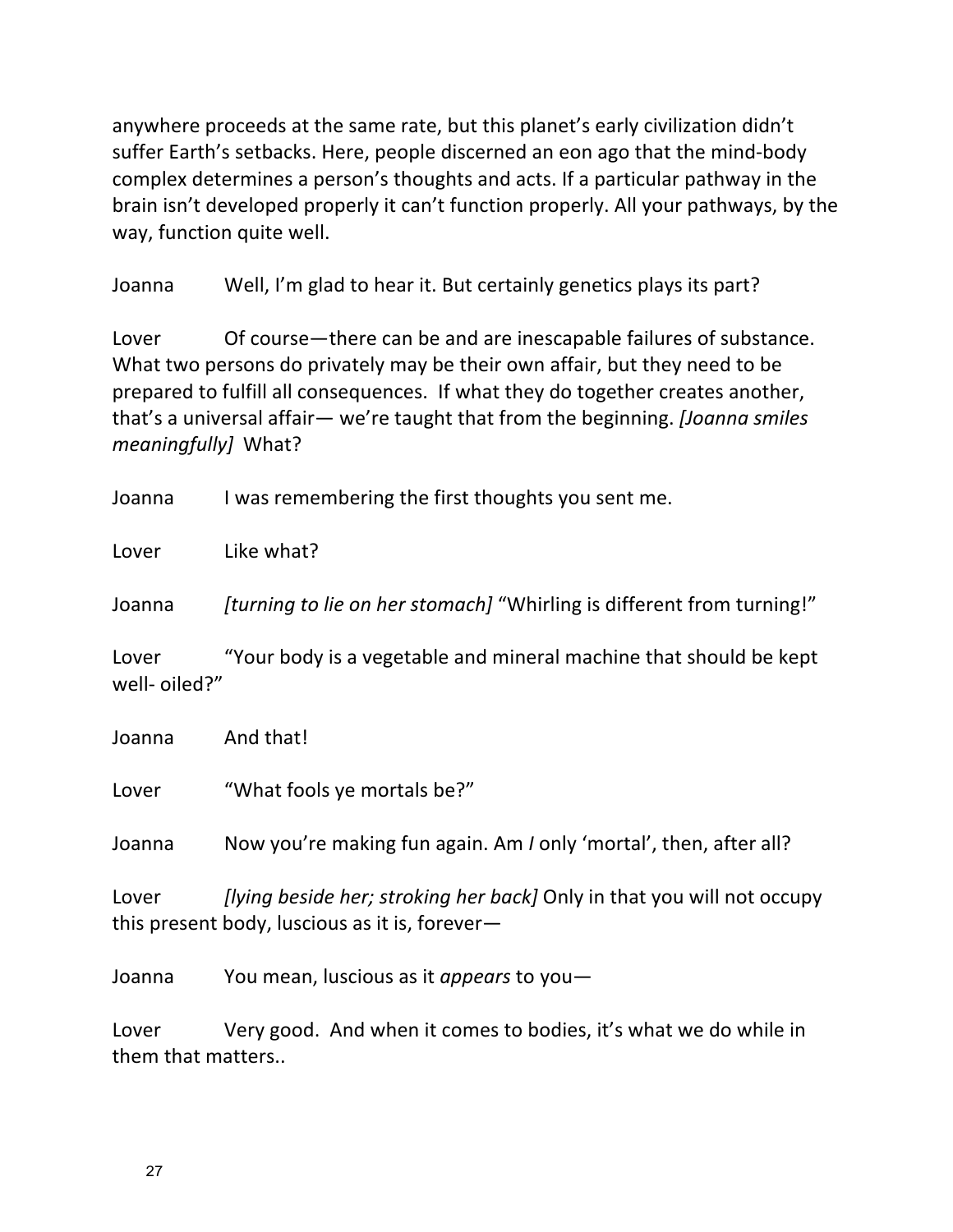anywhere proceeds at the same rate, but this planet's early civilization didn't suffer Earth's setbacks. Here, people discerned an eon ago that the mind-body complex determines a person's thoughts and acts. If a particular pathway in the brain isn't developed properly it can't function properly. All your pathways, by the way, function quite well.

Joanna Well, I'm glad to hear it. But certainly genetics plays its part?

Lover Of course—there can be and are inescapable failures of substance. What two persons do privately may be their own affair, but they need to be prepared to fulfill all consequences. If what they do together creates another, that's a universal affair— we're taught that from the beginning. *[Joanna smiles meaningfully]* What?

Joanna I was remembering the first thoughts you sent me.

Lover Like what?

Joanna *[turning to lie on her stomach]* "Whirling is different from turning!"

Lover "Your body is a vegetable and mineral machine that should be kept well- oiled?"

| Joanna | And that! |
|--------|-----------|
|        |           |

Lover "What fools ye mortals be?"

Joanna Now you're making fun again. Am *I* only 'mortal', then, after all?

Lover *[lying beside her; stroking her back]* Only in that you will not occupy this present body, luscious as it is, forever-

Joanna You mean, luscious as it *appears* to you-

Lover Very good. And when it comes to bodies, it's what we do while in them that matters..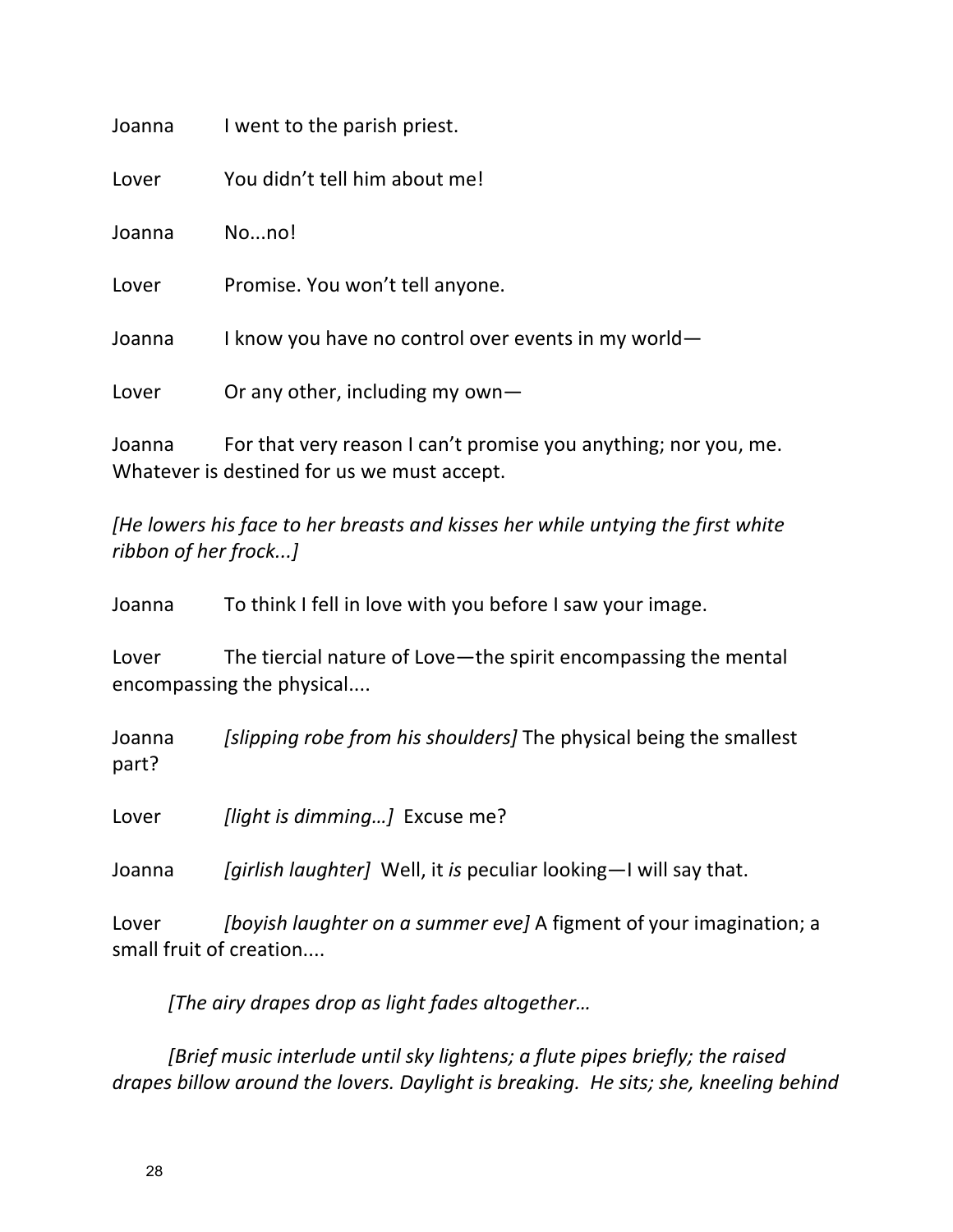| Joanna | I went to the parish priest.                                |
|--------|-------------------------------------------------------------|
| Lover  | You didn't tell him about me!                               |
| Joanna | Nono!                                                       |
| Lover  | Promise. You won't tell anyone.                             |
| Joanna | I know you have no control over events in my world-         |
| Lover  | Or any other, including my own $-$                          |
| Joanna | For that very reason I can't promise you anything; nor you, |

yɪning; nor you, me. Whatever is destined for us we must accept.

[He lowers his face to her breasts and kisses her while untying the first white *ribbon of her frock...]*

Joanna To think I fell in love with you before I saw your image.

Lover The tiercial nature of Love—the spirit encompassing the mental encompassing the physical....

Joanna *[slipping robe from his shoulders]* The physical being the smallest part?

Lover *[light is dimming...]* Excuse me?

Joanna *[girlish laughter]* Well, it *is* peculiar looking-I will say that.

Lover *[boyish laughter on a summer eve]* A figment of your imagination; a small fruit of creation....

*[The airy drapes drop as light fades altogether…*

*[Brief music interlude until sky lightens; a flute pipes briefly; the raised drapes billow around the lovers. Daylight is breaking. He sits; she, kneeling behind*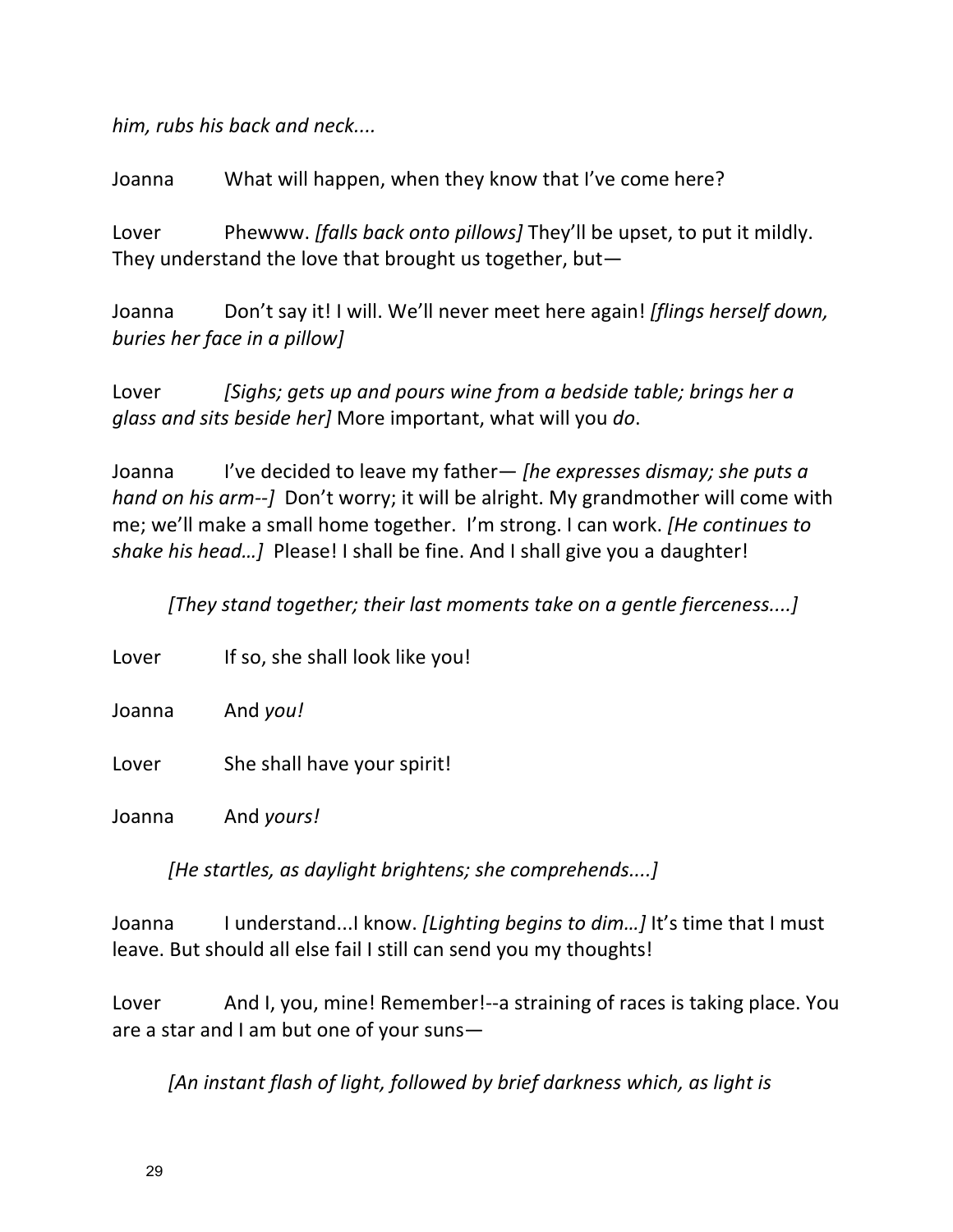him, rubs his back and neck....

Joanna What will happen, when they know that I've come here?

Lover Phewww. *[falls back onto pillows]* They'll be upset, to put it mildly. They understand the love that brought us together, but—

Joanna Don't say it! I will. We'll never meet here again! *[flings herself down, buries her face in a pillow]* 

Lover *[Sighs; gets up and pours wine from a bedside table; brings her a glass and sits beside her]* More important, what will you *do*.

Joanna I've decided to leave my father— *[he expresses dismay; she puts a hand* on his arm--*]* Don't worry; it will be alright. My grandmother will come with me; we'll make a small home together. I'm strong. I can work. *[He continues to* shake his head...] Please! I shall be fine. And I shall give you a daughter!

*[They stand together; their last moments take on a gentle fierceness....]* 

| Lover  | If so, she shall look like you! |
|--------|---------------------------------|
| Joanna | And you!                        |
| Lover  | She shall have your spirit!     |
| Joanna | And yours!                      |

[He startles, as daylight brightens; she comprehends....]

Joanna I understand...I know. *[Lighting begins to dim...]* It's time that I must leave. But should all else fail I still can send you my thoughts!

Lover And I, you, mine! Remember!--a straining of races is taking place. You are a star and I am but one of your suns-

[An instant flash of light, followed by brief darkness which, as light is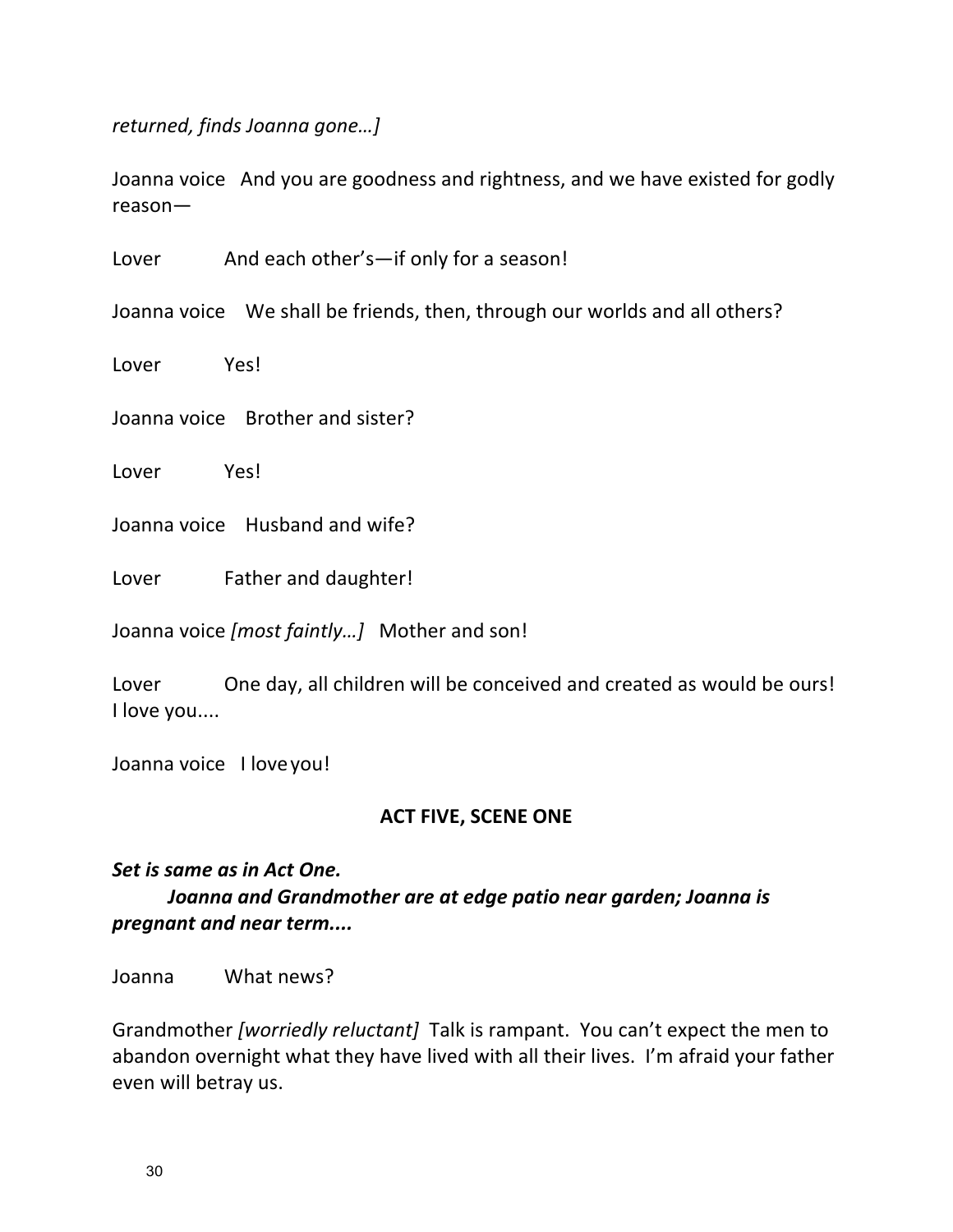*returned, finds Joanna gone…]*

Joanna voice And you are goodness and rightness, and we have existed for godly reason—

Lover And each other's—if only for a season!

Joanna voice We shall be friends, then, through our worlds and all others?

Lover Yes!

Joanna voice Brother and sister?

Lover Yes!

Joanna voice Husband and wife?

Lover Father and daughter!

Joanna voice [most faintly...] Mother and son!

Lover One day, all children will be conceived and created as would be ours! I love you....

Joanna voice I love you!

#### **ACT FIVE, SCENE ONE**

## Set is same as in Act One. Joanna and Grandmother are at edge patio near garden; Joanna is *pregnant and near term....*

Joanna What news?

Grandmother [worriedly reluctant] Talk is rampant. You can't expect the men to abandon overnight what they have lived with all their lives. I'm afraid your father even will betray us.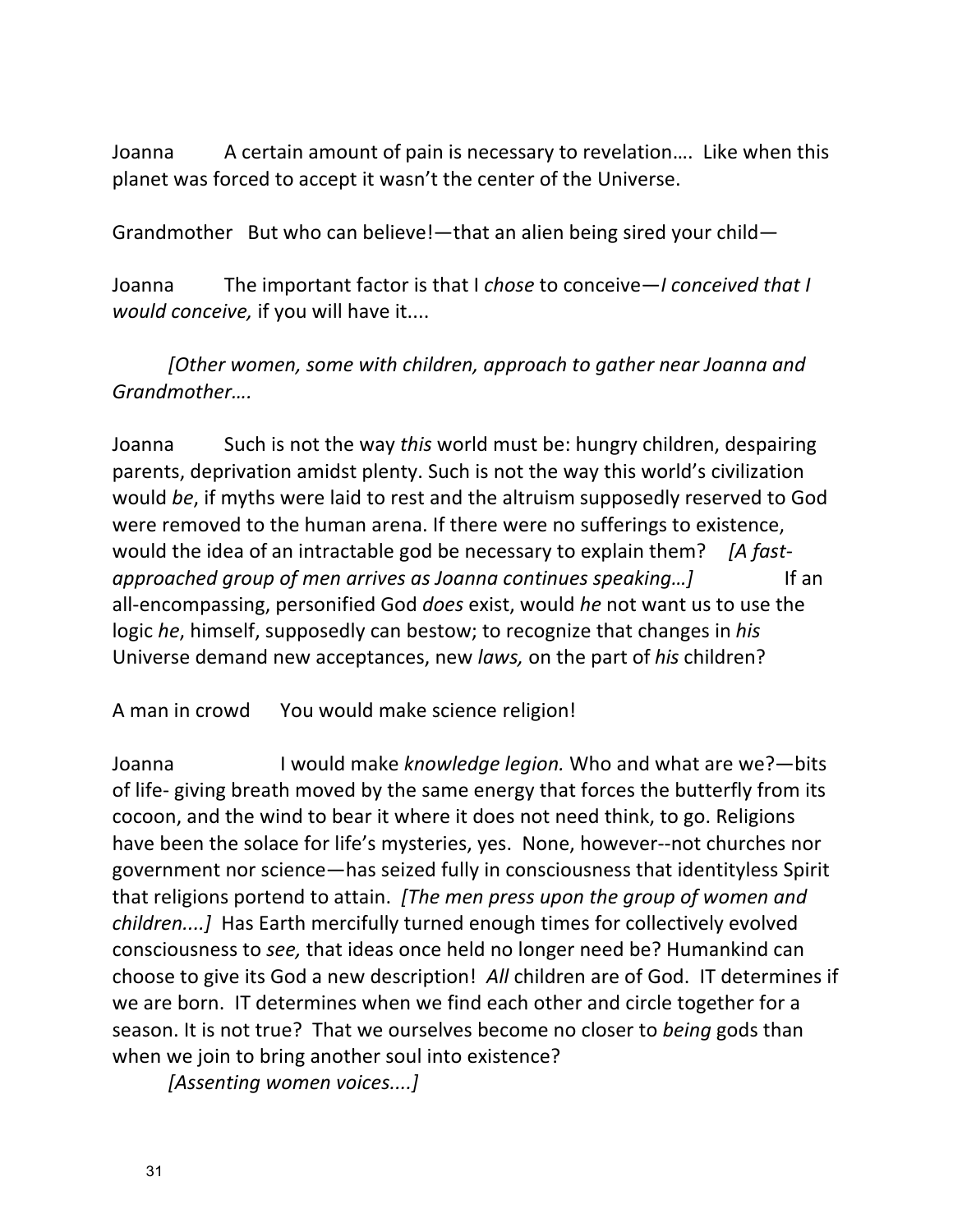Joanna A certain amount of pain is necessary to revelation.... Like when this planet was forced to accept it wasn't the center of the Universe.

Grandmother But who can believe!—that an alien being sired your child—

Joanna The important factor is that I chose to conceive—*I* conceived that I *would conceive,* if you will have it....

*[Other women, some with children, approach to gather near Joanna and Grandmother….*

Joanna Such is not the way *this* world must be: hungry children, despairing parents, deprivation amidst plenty. Such is not the way this world's civilization would be, if myths were laid to rest and the altruism supposedly reserved to God were removed to the human arena. If there were no sufferings to existence, would the idea of an intractable god be necessary to explain them? [A fast*approached group of men arrives as Joanna continues speaking...]* If an all-encompassing, personified God *does* exist, would *he* not want us to use the logic *he*, himself, supposedly can bestow; to recognize that changes in *his* Universe demand new acceptances, new *laws*, on the part of *his* children?

A man in crowd You would make science religion!

Joanna **I** would make *knowledge legion*. Who and what are we?—bits of life- giving breath moved by the same energy that forces the butterfly from its cocoon, and the wind to bear it where it does not need think, to go. Religions have been the solace for life's mysteries, yes. None, however--not churches nor government nor science—has seized fully in consciousness that identityless Spirit that religions portend to attain. [The men press upon the group of women and *children....]* Has Earth mercifully turned enough times for collectively evolved consciousness to *see*, that ideas once held no longer need be? Humankind can choose to give its God a new description! All children are of God. IT determines if we are born. IT determines when we find each other and circle together for a season. It is not true? That we ourselves become no closer to *being* gods than when we join to bring another soul into existence?

*[Assenting women voices....]*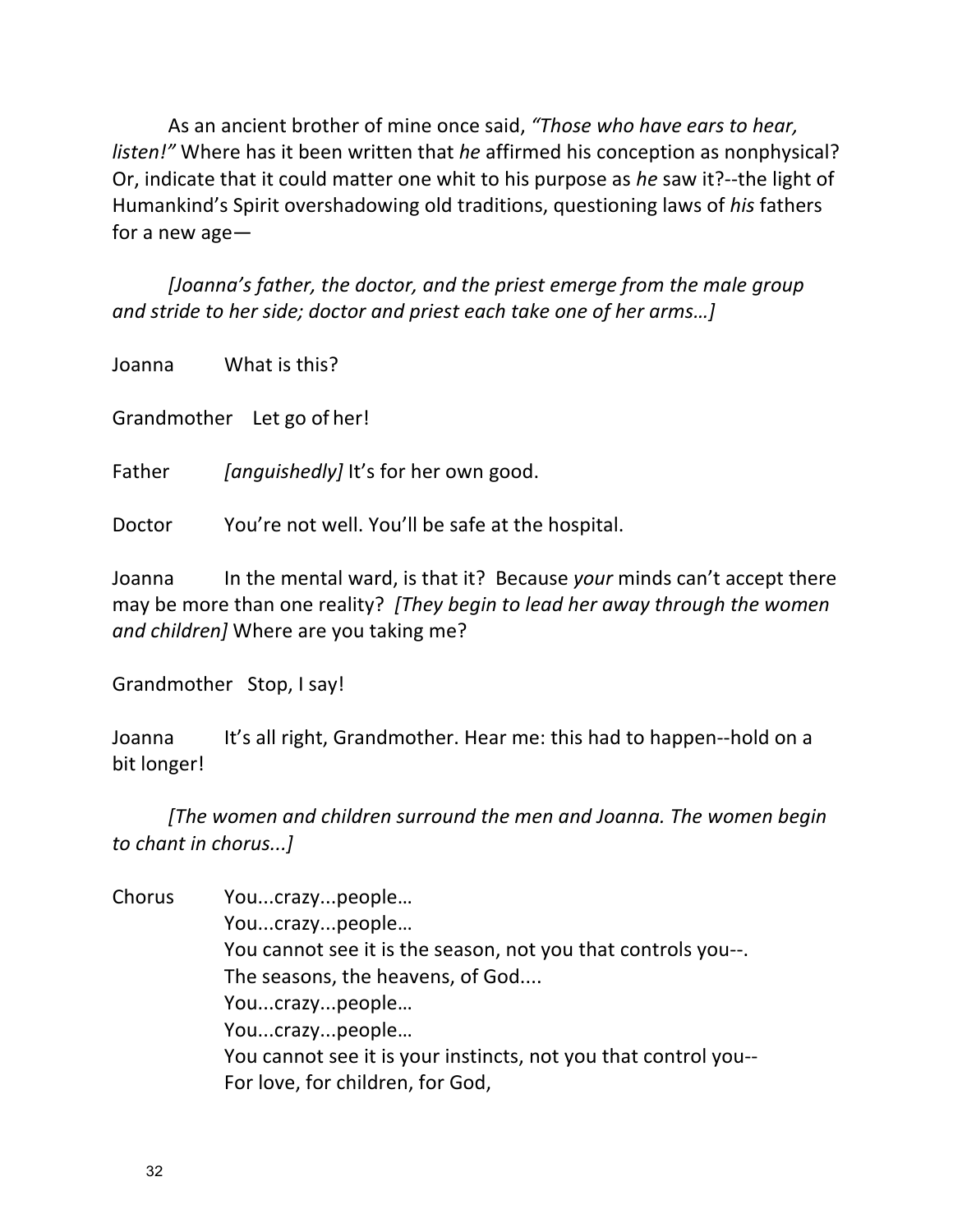As an ancient brother of mine once said, "Those who have ears to hear, *listen!*" Where has it been written that *he* affirmed his conception as nonphysical? Or, indicate that it could matter one whit to his purpose as *he* saw it?--the light of Humankind's Spirit overshadowing old traditions, questioning laws of *his* fathers for a new age $-$ 

*[Joanna's father, the doctor, and the priest emerge from the male group and stride to her side; doctor and priest each take one of her arms...]* 

Joanna What is this?

Grandmother Let go of her!

Father *[anguishedly]* It's for her own good.

Doctor You're not well. You'll be safe at the hospital.

Joanna In the mental ward, is that it? Because *your* minds can't accept there may be more than one reality? [They begin to lead her away through the women *and children]* Where are you taking me?

Grandmother Stop, I say!

Joanna It's all right, Grandmother. Hear me: this had to happen--hold on a bit longer!

[The women and children surround the men and Joanna. The women begin *to chant in chorus...]*

Chorus You...crazy...people… You...crazy...people… You cannot see it is the season, not you that controls you--. The seasons, the heavens, of God.... You...crazy...people… You...crazy...people… You cannot see it is your instincts, not you that control you--For love, for children, for God,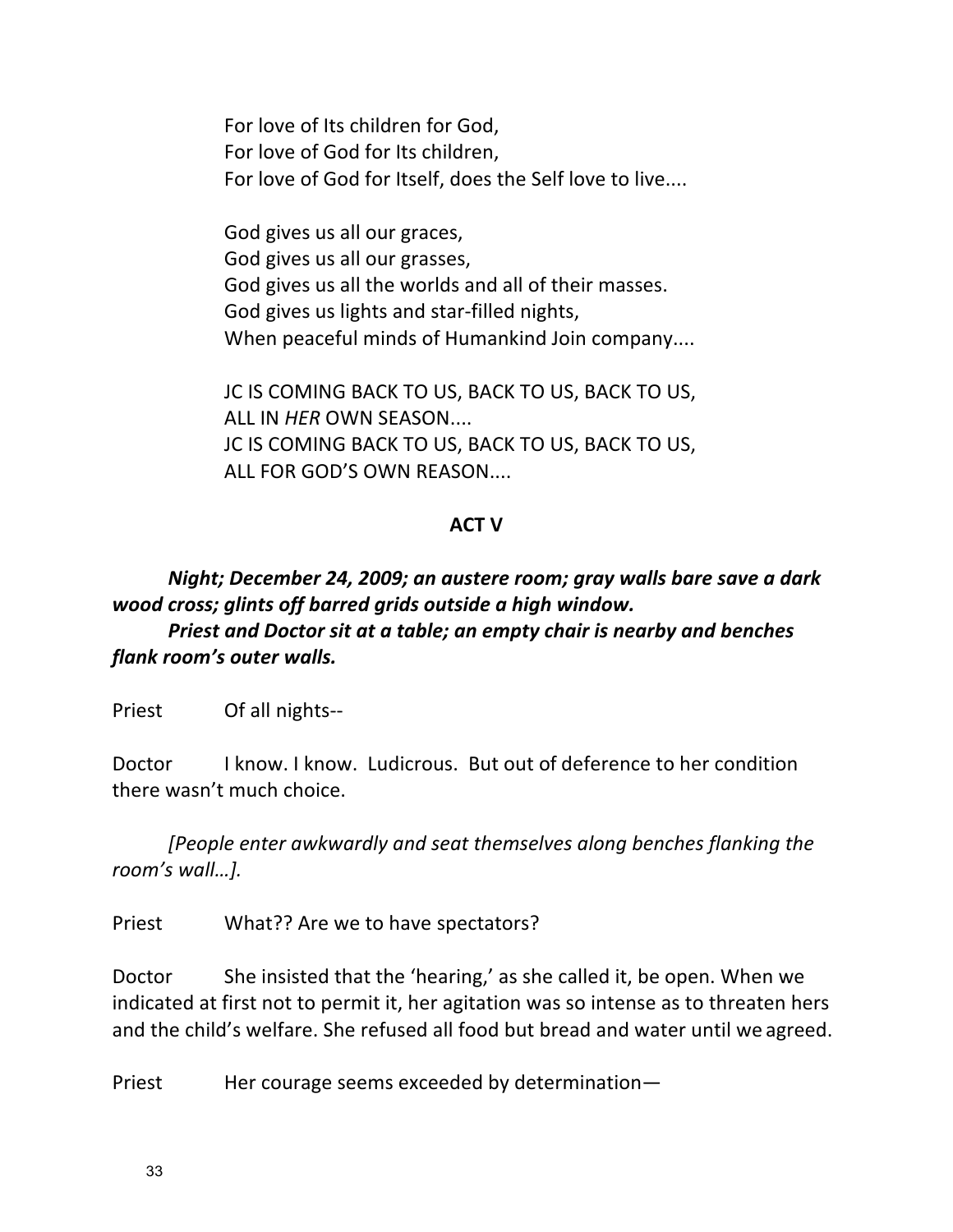For love of Its children for God, For love of God for Its children, For love of God for Itself, does the Self love to live....

God gives us all our graces, God gives us all our grasses, God gives us all the worlds and all of their masses. God gives us lights and star-filled nights, When peaceful minds of Humankind Join company....

JC IS COMING BACK TO US, BACK TO US, BACK TO US, **ALL IN HER OWN SEASON....** JC IS COMING BACK TO US, BACK TO US, BACK TO US, ALL FOR GOD'S OWN REASON....

#### **ACT V**

# *Night; December 24, 2009; an austere room; gray walls bare save a dark wood cross; glints off barred grids outside a high window.*

*Priest and Doctor sit at a table; an empty chair is nearby and benches flank room's outer* walls.

Priest Of all nights--

Doctor I know. I know. Ludicrous. But out of deference to her condition there wasn't much choice.

*[People enter awkwardly and seat themselves along benches flanking the* room's wall...].

Priest What?? Are we to have spectators?

Doctor She insisted that the 'hearing,' as she called it, be open. When we indicated at first not to permit it, her agitation was so intense as to threaten hers and the child's welfare. She refused all food but bread and water until we agreed.

Priest Her courage seems exceeded by determination-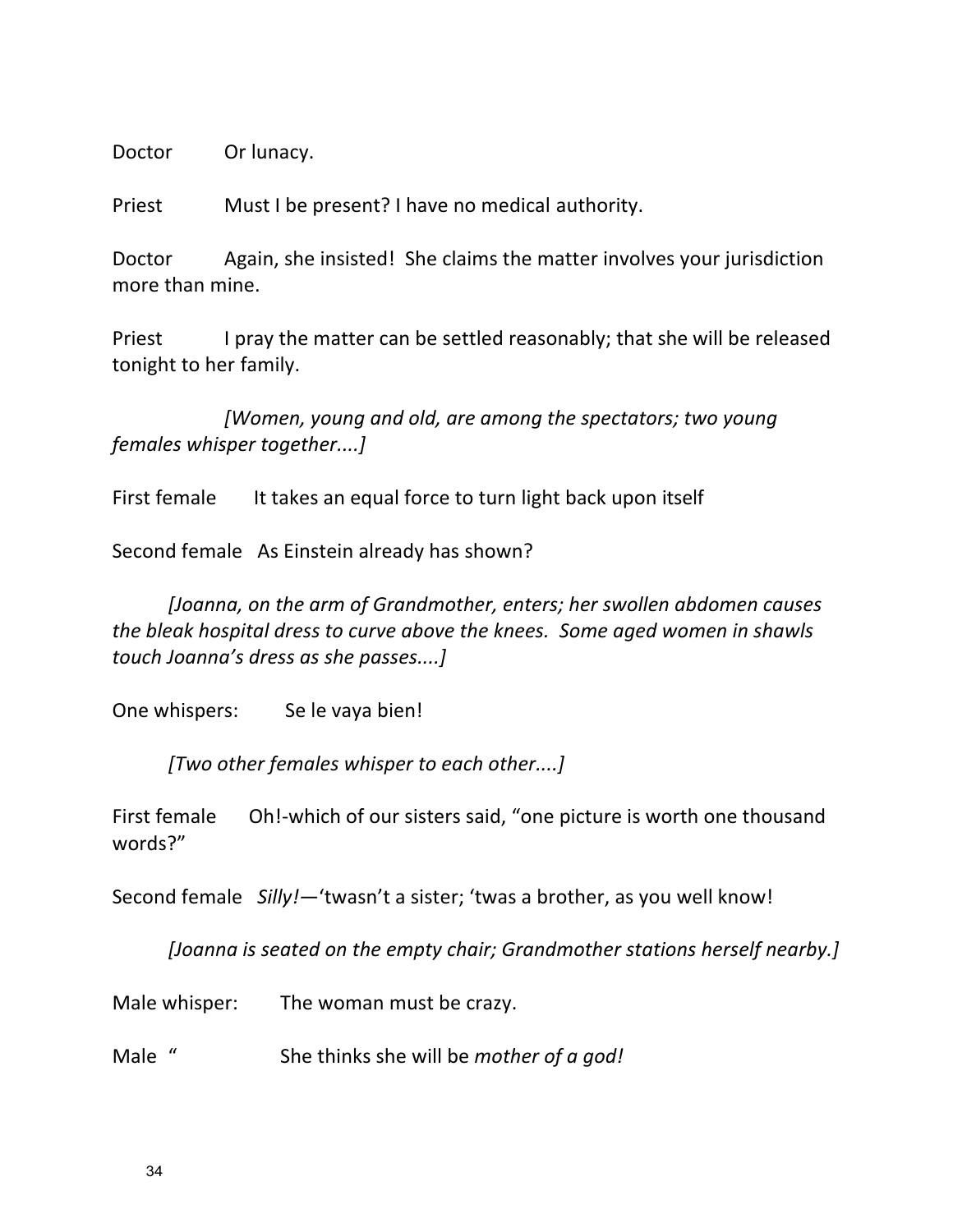Doctor Or lunacy.

Priest Must I be present? I have no medical authority.

Doctor Again, she insisted! She claims the matter involves your jurisdiction more than mine.

Priest I pray the matter can be settled reasonably; that she will be released tonight to her family.

*[Women, young and old, are among the spectators; two young females* whisper together....]

First female It takes an equal force to turn light back upon itself

Second female As Einstein already has shown?

*[Joanna, on the arm of Grandmother, enters; her swollen abdomen causes the bleak hospital dress to curve above the knees. Some aged women in shawls touch Joanna's dress as she passes....]*

One whispers: Se le vaya bien!

*[Two other females whisper to each other....]*

First female Oh!-which of our sisters said, "one picture is worth one thousand words?"

Second female Silly!—'twasn't a sister; 'twas a brother, as you well know!

*[Joanna is seated on the empty chair; Grandmother stations herself nearby.]* 

Male whisper: The woman must be crazy.

Male " She thinks she will be *mother of a god!*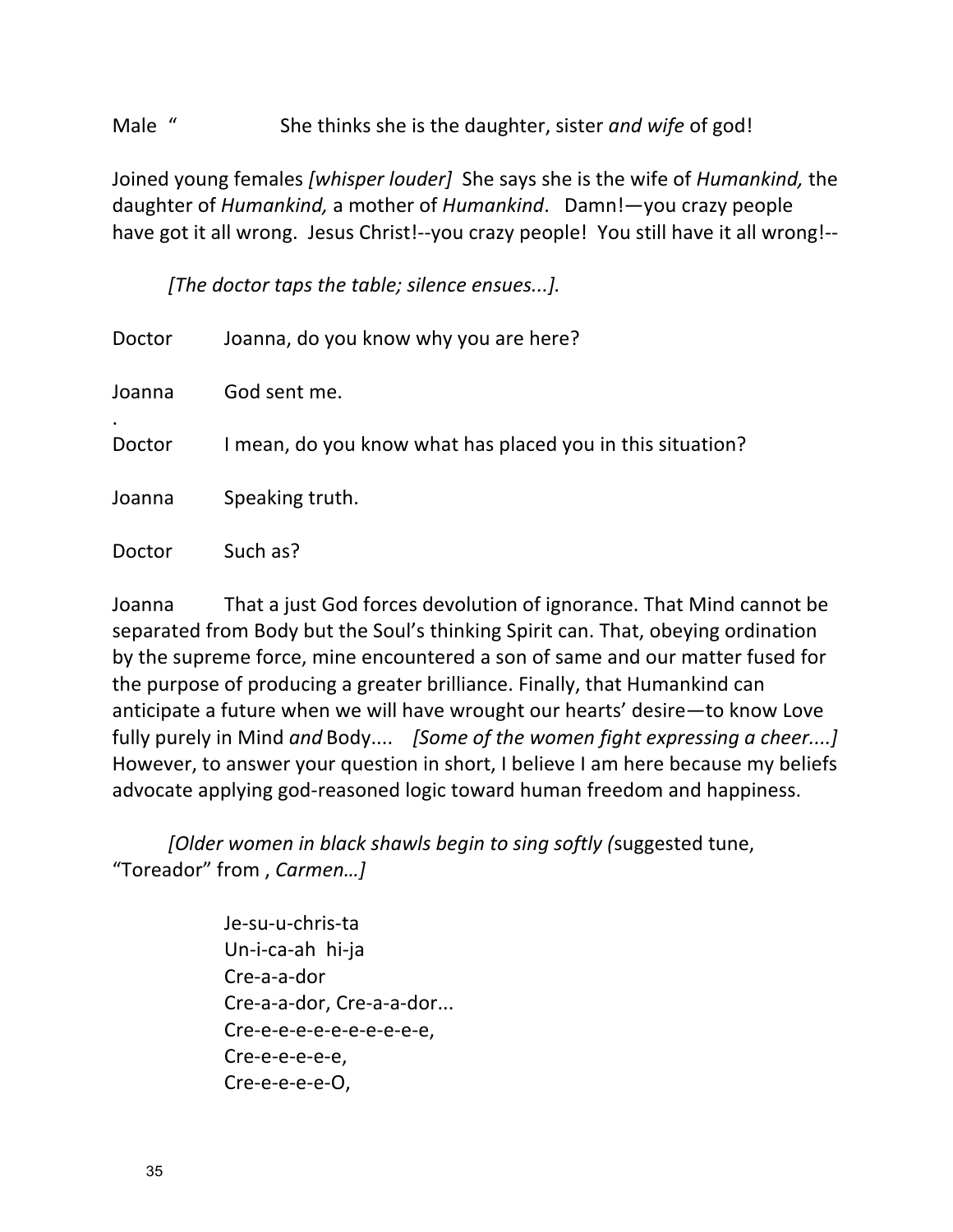Male " She thinks she is the daughter, sister *and wife* of god!

Joined young females *[whisper louder]* She says she is the wife of *Humankind*, the daughter of *Humankind*, a mother of *Humankind*. Damn!—you crazy people have got it all wrong. Jesus Christ!--you crazy people! You still have it all wrong!--

*[The doctor taps the table; silence ensues...].* 

| Doctor | Joanna, do you know why you are here?                      |
|--------|------------------------------------------------------------|
| Joanna | God sent me.                                               |
| Doctor | I mean, do you know what has placed you in this situation? |
| Joanna | Speaking truth.                                            |
| Doctor | Such as?                                                   |

Joanna That a just God forces devolution of ignorance. That Mind cannot be separated from Body but the Soul's thinking Spirit can. That, obeying ordination by the supreme force, mine encountered a son of same and our matter fused for the purpose of producing a greater brilliance. Finally, that Humankind can anticipate a future when we will have wrought our hearts' desire-to know Love fully purely in Mind and Body.... *[Some of the women fight expressing a cheer....]* However, to answer your question in short, I believe I am here because my beliefs advocate applying god-reasoned logic toward human freedom and happiness.

*[Older women in black shawls begin to sing softly (suggested tune,* "Toreador" from, Carmen...]

> Je-su-u-chris-ta Un-i-ca-ah hi-ja Cre-a-a-dor Cre-a-a-dor, Cre-a-a-dor... Cre-e-e-e-e-e-e-e-e-e-e, Cre-e-e-e-e-e, Cre-e-e-e-e-O,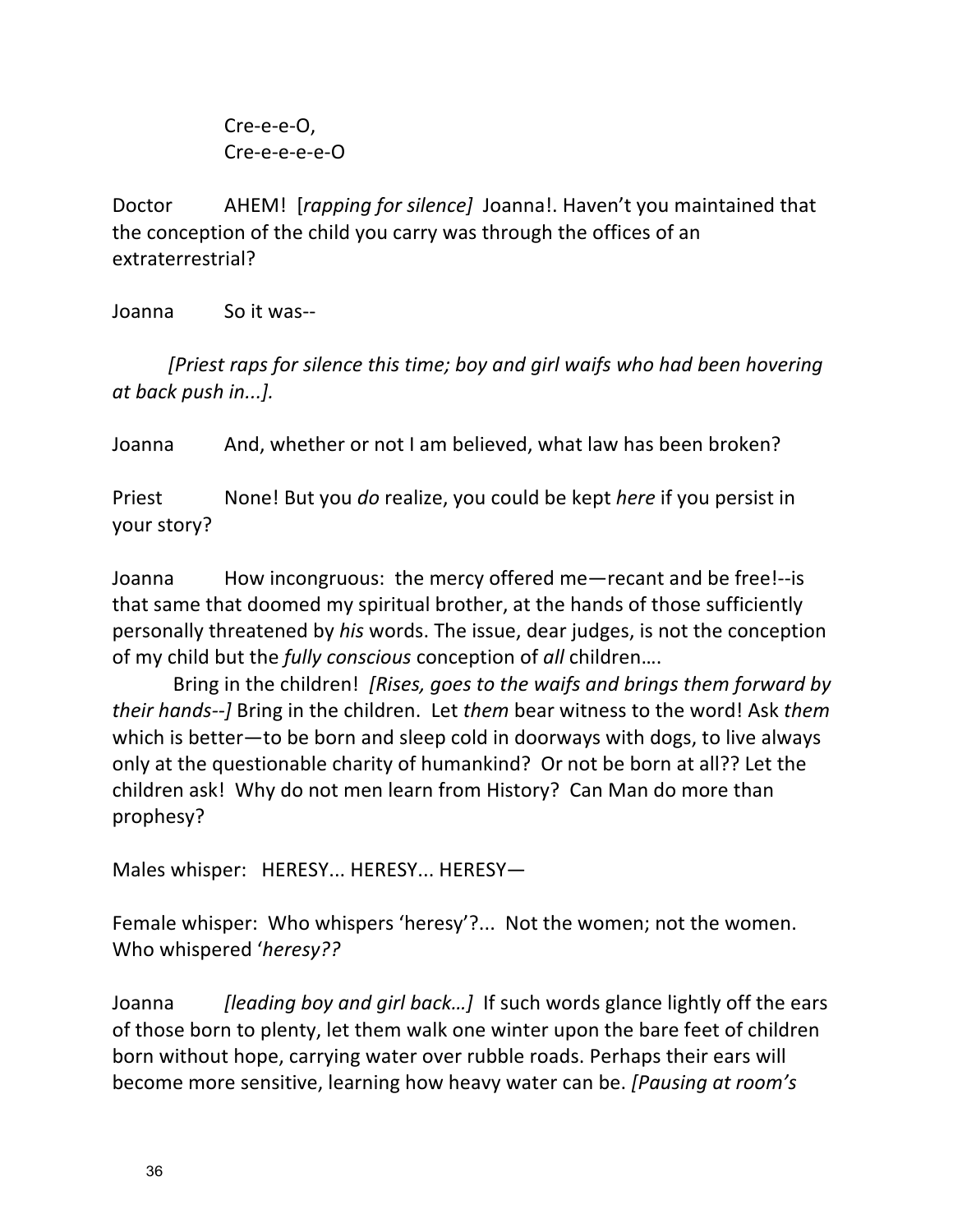Cre-e-e-O, Cre-e-e-e-e-O

Doctor AHEM! *[rapping for silence]* Joanna!. Haven't you maintained that the conception of the child you carry was through the offices of an extraterrestrial?

Joanna So it was--

*[Priest raps for silence this time; boy and girl waifs who had been hovering at back push in...].*

Joanna And, whether or not I am believed, what law has been broken?

Priest None! But you *do* realize, you could be kept *here* if you persist in your story?

Joanna How incongruous: the mercy offered me-recant and be free!--is that same that doomed my spiritual brother, at the hands of those sufficiently personally threatened by his words. The issue, dear judges, is not the conception of my child but the *fully conscious* conception of *all* children....

Bring in the children! *[Rises, goes to the waifs and brings them forward by their hands--]* Bring in the children. Let *them* bear witness to the word! Ask *them* which is better—to be born and sleep cold in doorways with dogs, to live always only at the questionable charity of humankind? Or not be born at all?? Let the children ask! Why do not men learn from History? Can Man do more than prophesy?

Males whisper: HERESY... HERESY... HERESY-

Female whisper: Who whispers 'heresy'?... Not the women; not the women. Who whispered 'heresy??

Joanna *[leading boy and girl back...]* If such words glance lightly off the ears of those born to plenty, let them walk one winter upon the bare feet of children born without hope, carrying water over rubble roads. Perhaps their ears will become more sensitive, learning how heavy water can be. *[Pausing at room's*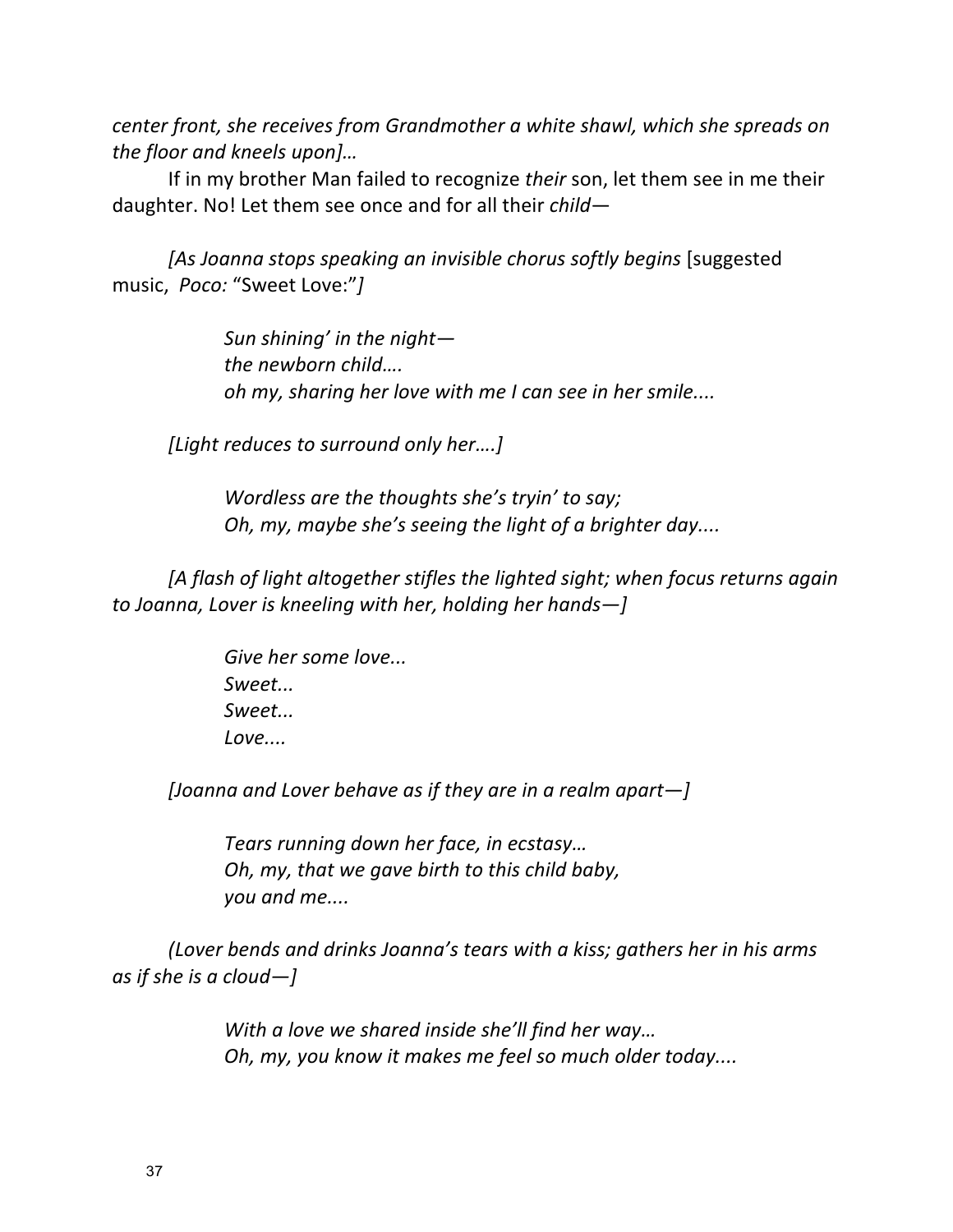*center front, she receives from Grandmother a white shawl, which she spreads on the floor and kneels upon]...* 

If in my brother Man failed to recognize *their* son, let them see in me their daughter. No! Let them see once and for all their *child*—

[As Joanna stops speaking an invisible chorus softly begins [suggested music, Poco: "Sweet Love:"]

> Sun shining' in the night*the newborn child.... oh* my, sharing her love with me I can see in her smile....

*[Light reduces to surround only her....]* 

*Wordless are the thoughts she's tryin' to say; Oh, my, maybe she's seeing the light of a brighter day....* 

[A flash of light altogether stifles the lighted sight; when focus returns again *to Joanna, Lover is kneeling with her, holding her hands—]* 

> Give her some love... *Sweet... Sweet... Love....*

*[Joanna and Lover behave as if they are in a realm apart—]* 

*Tears running down her face, in ecstasy... Oh, my, that we gave birth to this child baby, you and me....*

*(Lover bends and drinks Joanna's tears with a kiss; gathers her in his arms as if she is a cloud—]*

> *With a love we shared inside she'll find her way... Oh, my, you know it makes me feel so much older today....*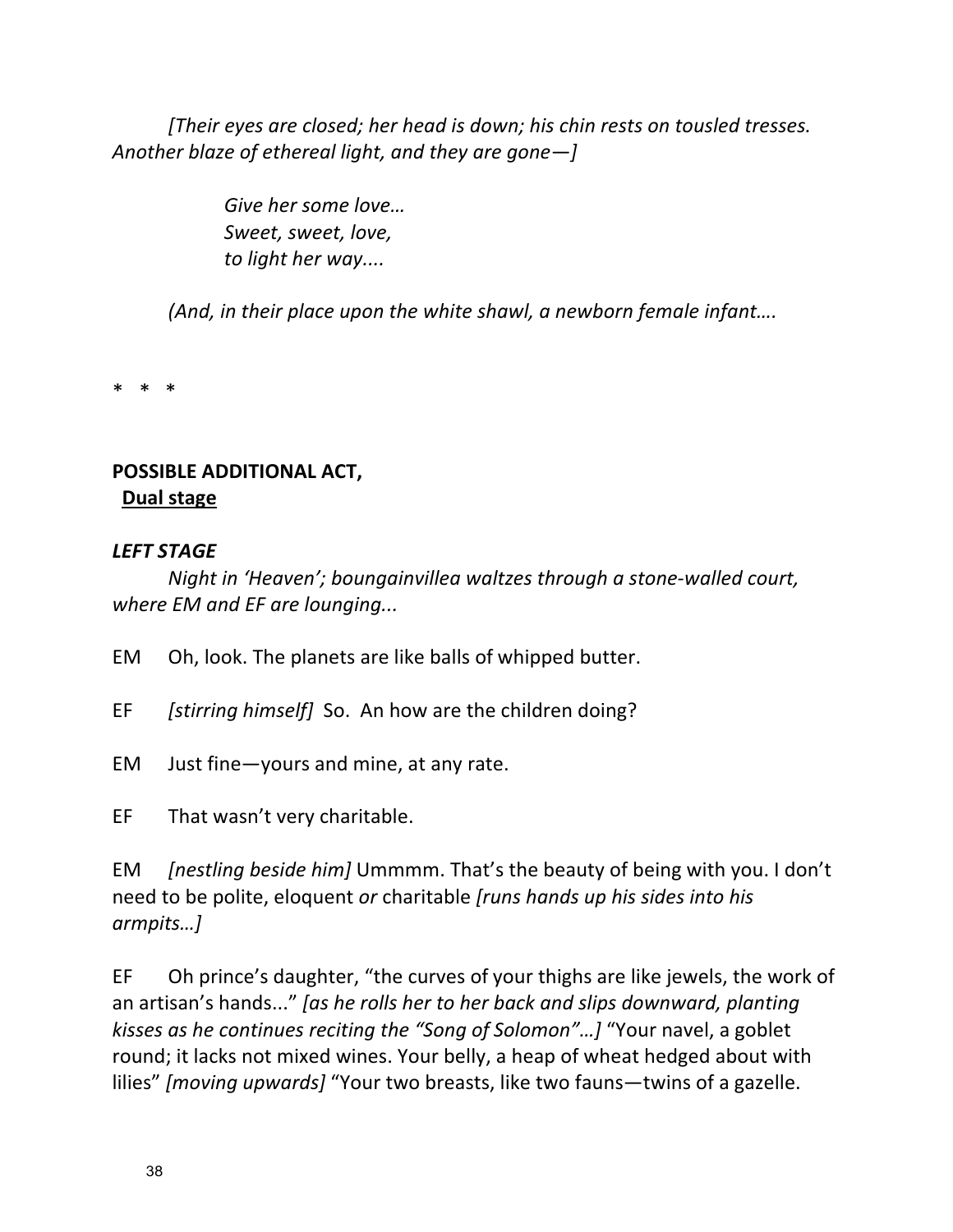*[Their eyes are closed; her head is down; his chin rests on tousled tresses.* Another blaze of ethereal light, and they are gone-]

> Give her some love... *Sweet, sweet, love,* to *light her* way....

*(And, in their place upon the white shawl, a newborn female infant....* 

\* \* \*

# **POSSIBLE ADDITIONAL ACT, Dual stage**

### *LEFT STAGE*

*Night in 'Heaven';* boungainvillea waltzes through a stone-walled court, *where EM and EF are lounging...* 

EM Oh, look. The planets are like balls of whipped butter.

EF *[stirring himself]* So. An how are the children doing?

- EM Just fine—yours and mine, at any rate.
- EF That wasn't very charitable.

EM *[nestling beside him]* Ummmm. That's the beauty of being with you. I don't need to be polite, eloquent *or* charitable [runs hands up his sides into his *armpits…]*

EF Oh prince's daughter, "the curves of your thighs are like jewels, the work of an artisan's hands..." *[as he rolls her to her back and slips downward, planting kisses as he continues reciting the "Song of Solomon"...]* "Your navel, a goblet round; it lacks not mixed wines. Your belly, a heap of wheat hedged about with lilies" [moving upwards] "Your two breasts, like two fauns—twins of a gazelle.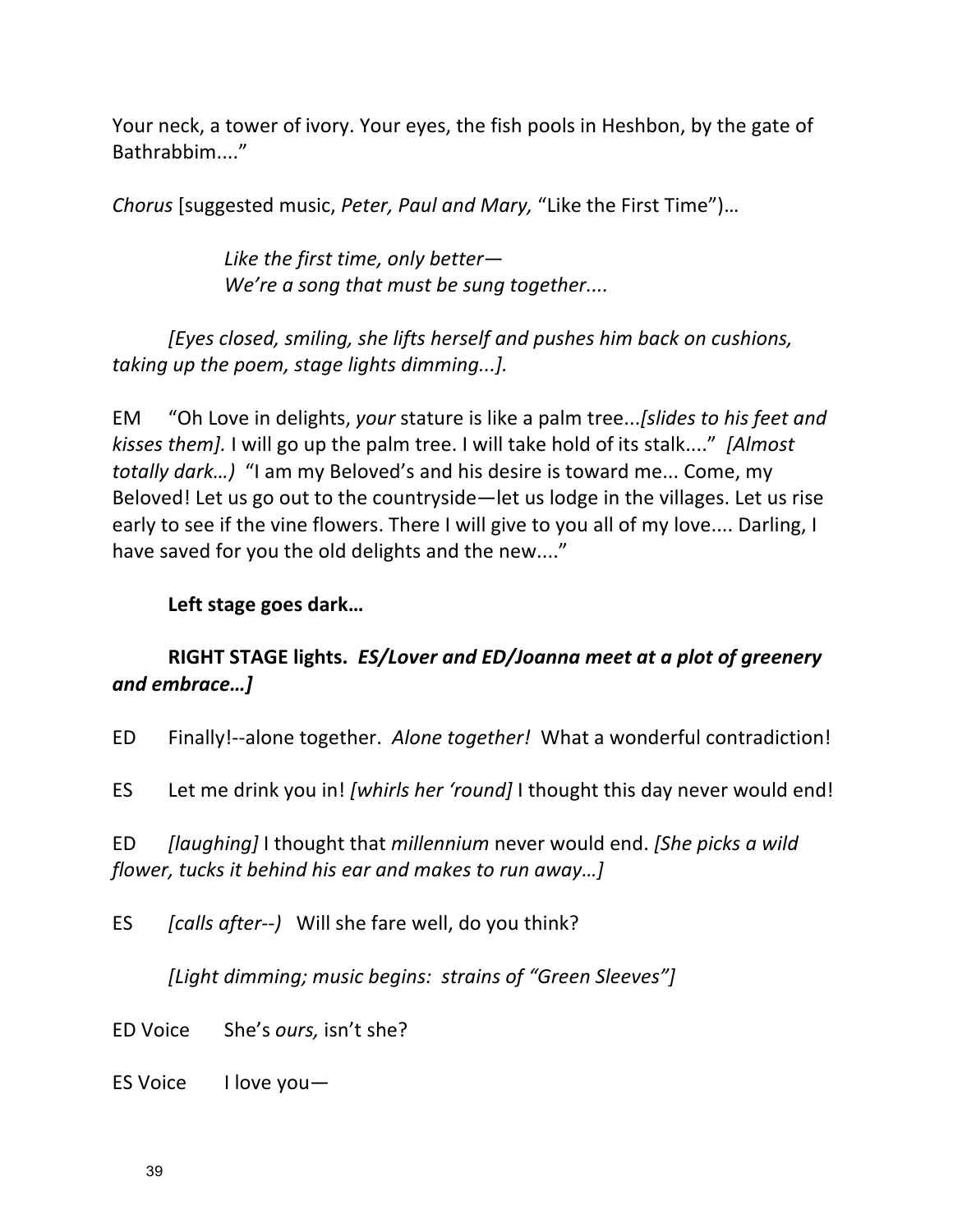Your neck, a tower of ivory. Your eyes, the fish pools in Heshbon, by the gate of Bathrabbim...."

*Chorus* [suggested music, *Peter, Paul and Mary,* "Like the First Time")...

Like the first time, only better— We're a song that must be sung together....

*[Eyes closed, smiling, she lifts herself and pushes him back on cushions, taking up the poem, stage lights dimming...].* 

EM "Oh Love in delights, *your* stature is like a palm tree...*[slides to his feet and kisses them].* I will go up the palm tree. I will take hold of its stalk...." [Almost *totally dark...*) "I am my Beloved's and his desire is toward me... Come, my Beloved! Let us go out to the countryside—let us lodge in the villages. Let us rise early to see if the vine flowers. There I will give to you all of my love.... Darling, I have saved for you the old delights and the new...."

#### Left stage goes dark...

# RIGHT STAGE lights. *ES/Lover and ED/Joanna meet at a plot of greenery and embrace…]*

ED Finally!--alone together. Alone together! What a wonderful contradiction!

ES Let me drink you in! *[whirls her 'round]* I thought this day never would end!

ED *[laughing]* I thought that *millennium* never would end. *[She picks a wild flower, tucks it behind his ear and makes to run away...]* 

ES *[calls after--)* Will she fare well, do you think?

*[Light dimming; music begins: strains of "Green Sleeves"]* 

ED Voice She's *ours*, isn't she?

ES Voice I love you-